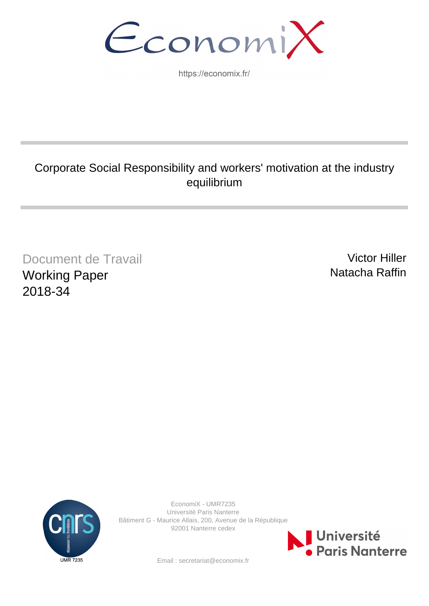EconomiX

https://economix.fr/

# Corporate Social Responsibility and workers' motivation at the industry equilibrium

Document de Travail Working Paper 2018-34

Victor Hiller Natacha Raffin



EconomiX - UMR7235 Université Paris Nanterre Bâtiment G - Maurice Allais, 200, Avenue de la République 92001 Nanterre cedex



Email : secretariat@economix.fr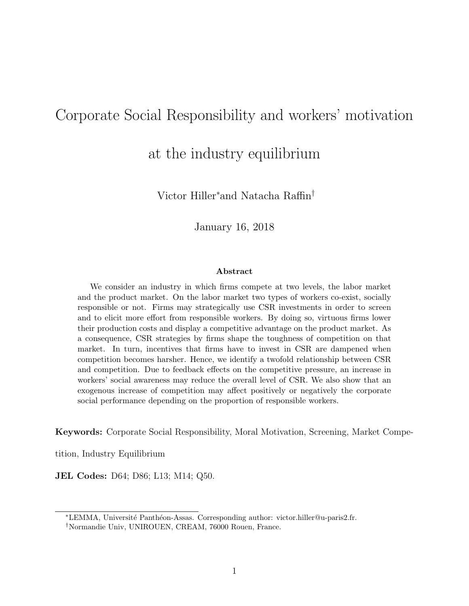## Corporate Social Responsibility and workers' motivation

at the industry equilibrium

Victor Hiller<sup>∗</sup>and Natacha Raffin†

January 16, 2018

#### Abstract

We consider an industry in which firms compete at two levels, the labor market and the product market. On the labor market two types of workers co-exist, socially responsible or not. Firms may strategically use CSR investments in order to screen and to elicit more effort from responsible workers. By doing so, virtuous firms lower their production costs and display a competitive advantage on the product market. As a consequence, CSR strategies by firms shape the toughness of competition on that market. In turn, incentives that firms have to invest in CSR are dampened when competition becomes harsher. Hence, we identify a twofold relationship between CSR and competition. Due to feedback effects on the competitive pressure, an increase in workers' social awareness may reduce the overall level of CSR. We also show that an exogenous increase of competition may affect positively or negatively the corporate social performance depending on the proportion of responsible workers.

Keywords: Corporate Social Responsibility, Moral Motivation, Screening, Market Compe-

tition, Industry Equilibrium

JEL Codes: D64; D86; L13; M14; Q50.

<sup>\*</sup>LEMMA, Université Panthéon-Assas. Corresponding author: victor.hiller@u-paris2.fr.

<sup>†</sup>Normandie Univ, UNIROUEN, CREAM, 76000 Rouen, France.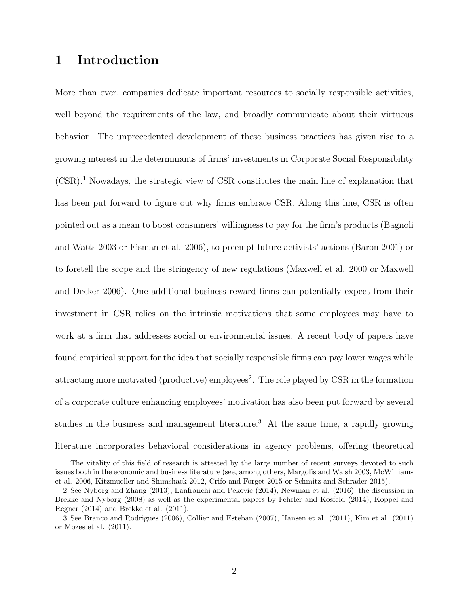## 1 Introduction

More than ever, companies dedicate important resources to socially responsible activities, well beyond the requirements of the law, and broadly communicate about their virtuous behavior. The unprecedented development of these business practices has given rise to a growing interest in the determinants of firms' investments in Corporate Social Responsibility (CSR).<sup>1</sup> Nowadays, the strategic view of CSR constitutes the main line of explanation that has been put forward to figure out why firms embrace CSR. Along this line, CSR is often pointed out as a mean to boost consumers' willingness to pay for the firm's products (Bagnoli and Watts 2003 or Fisman et al. 2006), to preempt future activists' actions (Baron 2001) or to foretell the scope and the stringency of new regulations (Maxwell et al. 2000 or Maxwell and Decker 2006). One additional business reward firms can potentially expect from their investment in CSR relies on the intrinsic motivations that some employees may have to work at a firm that addresses social or environmental issues. A recent body of papers have found empirical support for the idea that socially responsible firms can pay lower wages while attracting more motivated (productive) employees<sup>2</sup>. The role played by CSR in the formation of a corporate culture enhancing employees' motivation has also been put forward by several studies in the business and management literature.<sup>3</sup> At the same time, a rapidly growing literature incorporates behavioral considerations in agency problems, offering theoretical

<sup>1.</sup> The vitality of this field of research is attested by the large number of recent surveys devoted to such issues both in the economic and business literature (see, among others, Margolis and Walsh 2003, McWilliams et al. 2006, Kitzmueller and Shimshack 2012, Crifo and Forget 2015 or Schmitz and Schrader 2015).

<sup>2.</sup> See Nyborg and Zhang (2013), Lanfranchi and Pekovic (2014), Newman et al. (2016), the discussion in Brekke and Nyborg (2008) as well as the experimental papers by Fehrler and Kosfeld (2014), Koppel and Regner (2014) and Brekke et al. (2011).

<sup>3.</sup> See Branco and Rodrigues (2006), Collier and Esteban (2007), Hansen et al. (2011), Kim et al. (2011) or Mozes et al. (2011).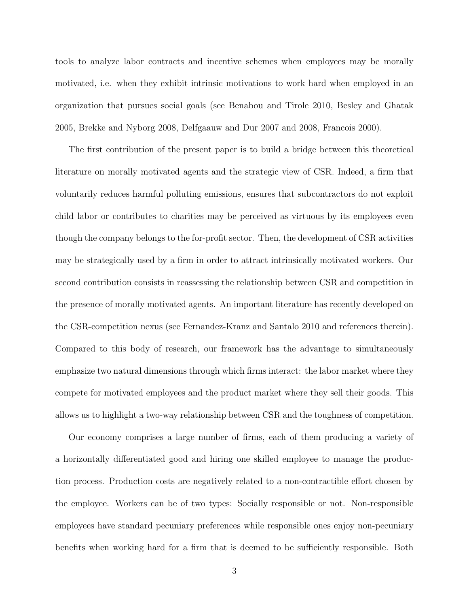tools to analyze labor contracts and incentive schemes when employees may be morally motivated, i.e. when they exhibit intrinsic motivations to work hard when employed in an organization that pursues social goals (see Benabou and Tirole 2010, Besley and Ghatak 2005, Brekke and Nyborg 2008, Delfgaauw and Dur 2007 and 2008, Francois 2000).

The first contribution of the present paper is to build a bridge between this theoretical literature on morally motivated agents and the strategic view of CSR. Indeed, a firm that voluntarily reduces harmful polluting emissions, ensures that subcontractors do not exploit child labor or contributes to charities may be perceived as virtuous by its employees even though the company belongs to the for-profit sector. Then, the development of CSR activities may be strategically used by a firm in order to attract intrinsically motivated workers. Our second contribution consists in reassessing the relationship between CSR and competition in the presence of morally motivated agents. An important literature has recently developed on the CSR-competition nexus (see Fernandez-Kranz and Santalo 2010 and references therein). Compared to this body of research, our framework has the advantage to simultaneously emphasize two natural dimensions through which firms interact: the labor market where they compete for motivated employees and the product market where they sell their goods. This allows us to highlight a two-way relationship between CSR and the toughness of competition.

Our economy comprises a large number of firms, each of them producing a variety of a horizontally differentiated good and hiring one skilled employee to manage the production process. Production costs are negatively related to a non-contractible effort chosen by the employee. Workers can be of two types: Socially responsible or not. Non-responsible employees have standard pecuniary preferences while responsible ones enjoy non-pecuniary benefits when working hard for a firm that is deemed to be sufficiently responsible. Both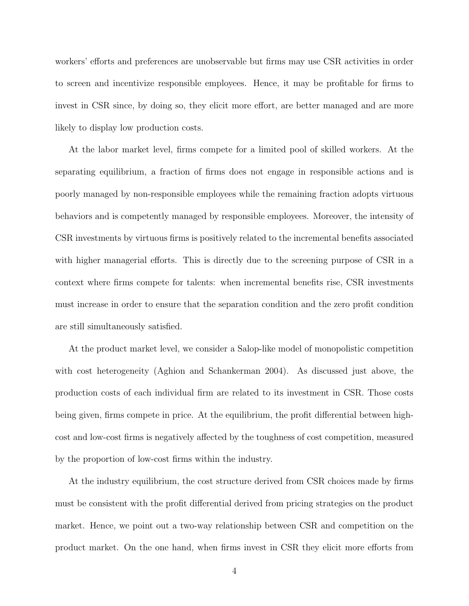workers' efforts and preferences are unobservable but firms may use CSR activities in order to screen and incentivize responsible employees. Hence, it may be profitable for firms to invest in CSR since, by doing so, they elicit more effort, are better managed and are more likely to display low production costs.

At the labor market level, firms compete for a limited pool of skilled workers. At the separating equilibrium, a fraction of firms does not engage in responsible actions and is poorly managed by non-responsible employees while the remaining fraction adopts virtuous behaviors and is competently managed by responsible employees. Moreover, the intensity of CSR investments by virtuous firms is positively related to the incremental benefits associated with higher managerial efforts. This is directly due to the screening purpose of CSR in a context where firms compete for talents: when incremental benefits rise, CSR investments must increase in order to ensure that the separation condition and the zero profit condition are still simultaneously satisfied.

At the product market level, we consider a Salop-like model of monopolistic competition with cost heterogeneity (Aghion and Schankerman 2004). As discussed just above, the production costs of each individual firm are related to its investment in CSR. Those costs being given, firms compete in price. At the equilibrium, the profit differential between highcost and low-cost firms is negatively affected by the toughness of cost competition, measured by the proportion of low-cost firms within the industry.

At the industry equilibrium, the cost structure derived from CSR choices made by firms must be consistent with the profit differential derived from pricing strategies on the product market. Hence, we point out a two-way relationship between CSR and competition on the product market. On the one hand, when firms invest in CSR they elicit more efforts from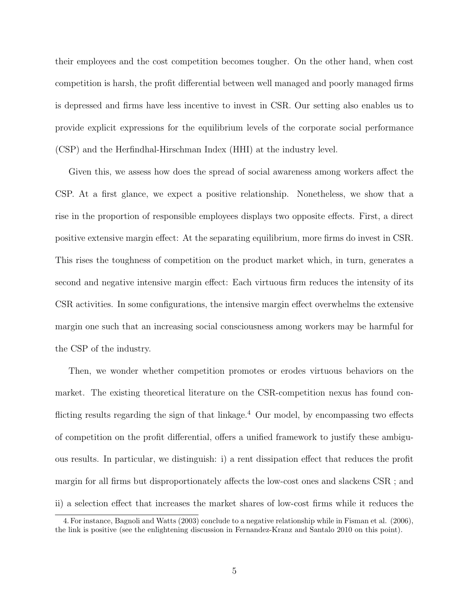their employees and the cost competition becomes tougher. On the other hand, when cost competition is harsh, the profit differential between well managed and poorly managed firms is depressed and firms have less incentive to invest in CSR. Our setting also enables us to provide explicit expressions for the equilibrium levels of the corporate social performance (CSP) and the Herfindhal-Hirschman Index (HHI) at the industry level.

Given this, we assess how does the spread of social awareness among workers affect the CSP. At a first glance, we expect a positive relationship. Nonetheless, we show that a rise in the proportion of responsible employees displays two opposite effects. First, a direct positive extensive margin effect: At the separating equilibrium, more firms do invest in CSR. This rises the toughness of competition on the product market which, in turn, generates a second and negative intensive margin effect: Each virtuous firm reduces the intensity of its CSR activities. In some configurations, the intensive margin effect overwhelms the extensive margin one such that an increasing social consciousness among workers may be harmful for the CSP of the industry.

Then, we wonder whether competition promotes or erodes virtuous behaviors on the market. The existing theoretical literature on the CSR-competition nexus has found conflicting results regarding the sign of that linkage.<sup>4</sup> Our model, by encompassing two effects of competition on the profit differential, offers a unified framework to justify these ambiguous results. In particular, we distinguish: i) a rent dissipation effect that reduces the profit margin for all firms but disproportionately affects the low-cost ones and slackens CSR ; and ii) a selection effect that increases the market shares of low-cost firms while it reduces the

<sup>4.</sup> For instance, Bagnoli and Watts (2003) conclude to a negative relationship while in Fisman et al. (2006), the link is positive (see the enlightening discussion in Fernandez-Kranz and Santalo 2010 on this point).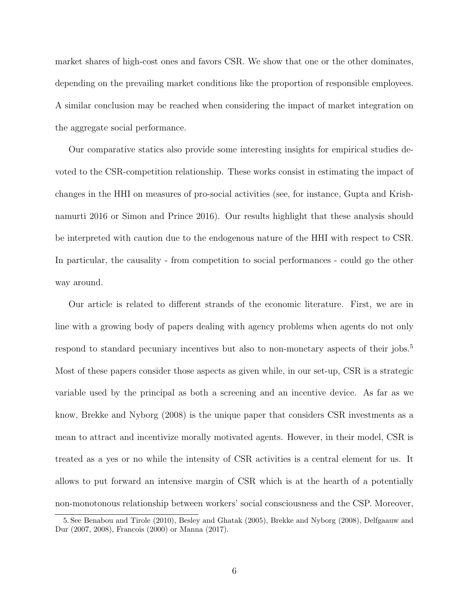market shares of high-cost ones and favors CSR. We show that one or the other dominates, depending on the prevailing market conditions like the proportion of responsible employees. A similar conclusion may be reached when considering the impact of market integration on the aggregate social performance.

Our comparative statics also provide some interesting insights for empirical studies devoted to the CSR-competition relationship. These works consist in estimating the impact of changes in the HHI on measures of pro-social activities (see, for instance, Gupta and Krishnamurti 2016 or Simon and Prince 2016). Our results highlight that these analysis should be interpreted with caution due to the endogenous nature of the HHI with respect to CSR. In particular, the causality - from competition to social performances - could go the other way around.

Our article is related to different strands of the economic literature. First, we are in line with a growing body of papers dealing with agency problems when agents do not only respond to standard pecuniary incentives but also to non-monetary aspects of their jobs.<sup>5</sup> Most of these papers consider those aspects as given while, in our set-up, CSR is a strategic variable used by the principal as both a screening and an incentive device. As far as we know, Brekke and Nyborg (2008) is the unique paper that considers CSR investments as a mean to attract and incentivize morally motivated agents. However, in their model, CSR is treated as a yes or no while the intensity of CSR activities is a central element for us. It allows to put forward an intensive margin of CSR which is at the hearth of a potentially non-monotonous relationship between workers' social consciousness and the CSP. Moreover,

<sup>5.</sup> See Benabou and Tirole (2010), Besley and Ghatak (2005), Brekke and Nyborg (2008), Delfgaauw and Dur (2007, 2008), Francois (2000) or Manna (2017).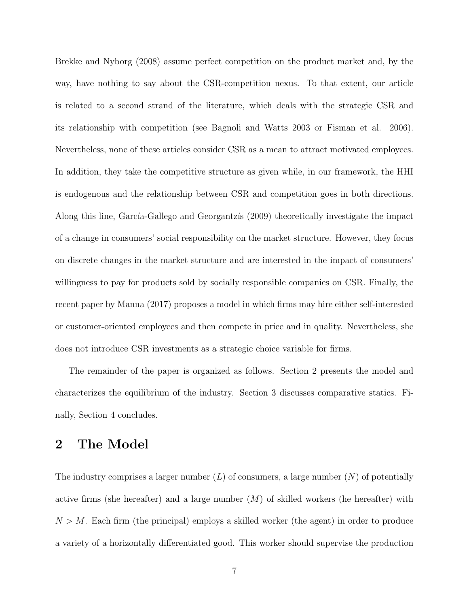Brekke and Nyborg (2008) assume perfect competition on the product market and, by the way, have nothing to say about the CSR-competition nexus. To that extent, our article is related to a second strand of the literature, which deals with the strategic CSR and its relationship with competition (see Bagnoli and Watts 2003 or Fisman et al. 2006). Nevertheless, none of these articles consider CSR as a mean to attract motivated employees. In addition, they take the competitive structure as given while, in our framework, the HHI is endogenous and the relationship between CSR and competition goes in both directions. Along this line, García-Gallego and Georgantzis (2009) theoretically investigate the impact of a change in consumers' social responsibility on the market structure. However, they focus on discrete changes in the market structure and are interested in the impact of consumers' willingness to pay for products sold by socially responsible companies on CSR. Finally, the recent paper by Manna (2017) proposes a model in which firms may hire either self-interested or customer-oriented employees and then compete in price and in quality. Nevertheless, she does not introduce CSR investments as a strategic choice variable for firms.

The remainder of the paper is organized as follows. Section 2 presents the model and characterizes the equilibrium of the industry. Section 3 discusses comparative statics. Finally, Section 4 concludes.

## 2 The Model

The industry comprises a larger number  $(L)$  of consumers, a large number  $(N)$  of potentially active firms (she hereafter) and a large number  $(M)$  of skilled workers (he hereafter) with  $N > M$ . Each firm (the principal) employs a skilled worker (the agent) in order to produce a variety of a horizontally differentiated good. This worker should supervise the production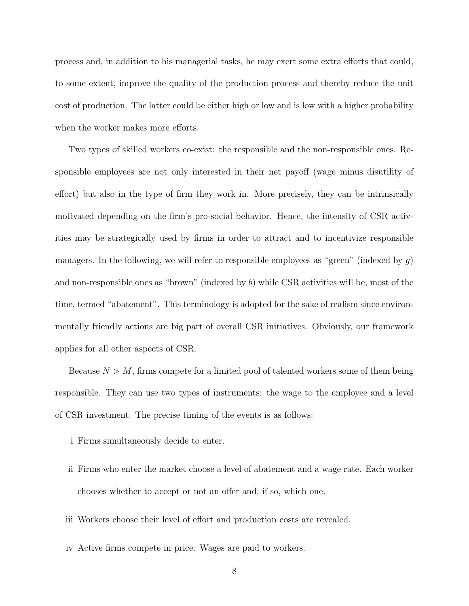process and, in addition to his managerial tasks, he may exert some extra efforts that could, to some extent, improve the quality of the production process and thereby reduce the unit cost of production. The latter could be either high or low and is low with a higher probability when the worker makes more efforts.

Two types of skilled workers co-exist: the responsible and the non-responsible ones. Responsible employees are not only interested in their net payoff (wage minus disutility of effort) but also in the type of firm they work in. More precisely, they can be intrinsically motivated depending on the firm's pro-social behavior. Hence, the intensity of CSR activities may be strategically used by firms in order to attract and to incentivize responsible managers. In the following, we will refer to responsible employees as "green" (indexed by  $g$ ) and non-responsible ones as "brown" (indexed by  $b$ ) while CSR activities will be, most of the time, termed "abatement". This terminology is adopted for the sake of realism since environmentally friendly actions are big part of overall CSR initiatives. Obviously, our framework applies for all other aspects of CSR.

Because  $N > M$ , firms compete for a limited pool of talented workers some of them being responsible. They can use two types of instruments: the wage to the employee and a level of CSR investment. The precise timing of the events is as follows:

- i Firms simultaneously decide to enter.
- ii Firms who enter the market choose a level of abatement and a wage rate. Each worker chooses whether to accept or not an offer and, if so, which one.
- iii Workers choose their level of effort and production costs are revealed.
- iv Active firms compete in price. Wages are paid to workers.
	- 8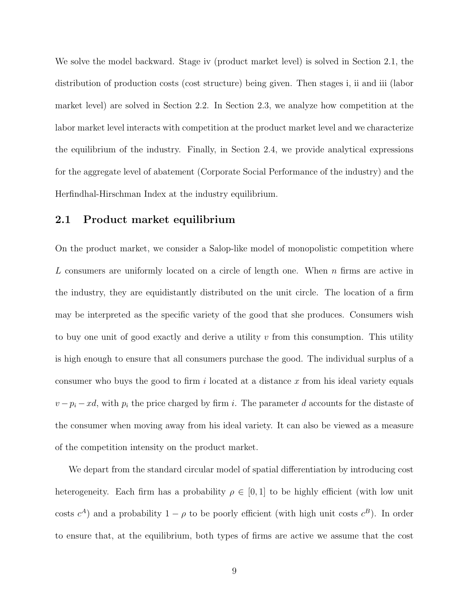We solve the model backward. Stage iv (product market level) is solved in Section 2.1, the distribution of production costs (cost structure) being given. Then stages i, ii and iii (labor market level) are solved in Section 2.2. In Section 2.3, we analyze how competition at the labor market level interacts with competition at the product market level and we characterize the equilibrium of the industry. Finally, in Section 2.4, we provide analytical expressions for the aggregate level of abatement (Corporate Social Performance of the industry) and the Herfindhal-Hirschman Index at the industry equilibrium.

### 2.1 Product market equilibrium

On the product market, we consider a Salop-like model of monopolistic competition where L consumers are uniformly located on a circle of length one. When  $n$  firms are active in the industry, they are equidistantly distributed on the unit circle. The location of a firm may be interpreted as the specific variety of the good that she produces. Consumers wish to buy one unit of good exactly and derive a utility  $v$  from this consumption. This utility is high enough to ensure that all consumers purchase the good. The individual surplus of a consumer who buys the good to firm i located at a distance x from his ideal variety equals  $v - p_i - xd$ , with  $p_i$  the price charged by firm i. The parameter d accounts for the distaste of the consumer when moving away from his ideal variety. It can also be viewed as a measure of the competition intensity on the product market.

We depart from the standard circular model of spatial differentiation by introducing cost heterogeneity. Each firm has a probability  $\rho \in [0, 1]$  to be highly efficient (with low unit costs  $c^A$ ) and a probability  $1 - \rho$  to be poorly efficient (with high unit costs  $c^B$ ). In order to ensure that, at the equilibrium, both types of firms are active we assume that the cost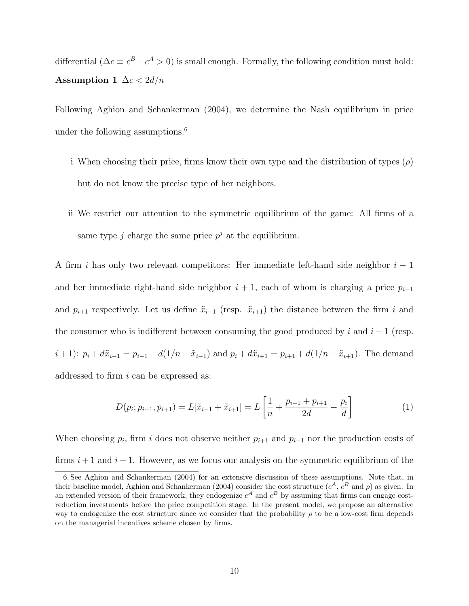differential ( $\Delta c \equiv c^B - c^A > 0$ ) is small enough. Formally, the following condition must hold: Assumption 1  $\Delta c < 2d/n$ 

Following Aghion and Schankerman (2004), we determine the Nash equilibrium in price under the following assumptions: $6$ 

- i When choosing their price, firms know their own type and the distribution of types  $(\rho)$ but do not know the precise type of her neighbors.
- ii We restrict our attention to the symmetric equilibrium of the game: All firms of a same type j charge the same price  $p^j$  at the equilibrium.

A firm i has only two relevant competitors: Her immediate left-hand side neighbor  $i-1$ and her immediate right-hand side neighbor  $i + 1$ , each of whom is charging a price  $p_{i-1}$ and  $p_{i+1}$  respectively. Let us define  $\tilde{x}_{i-1}$  (resp.  $\tilde{x}_{i+1}$ ) the distance between the firm i and the consumer who is indifferent between consuming the good produced by i and  $i - 1$  (resp.  $i + 1$ :  $p_i + d\tilde{x}_{i-1} = p_{i-1} + d(1/n - \tilde{x}_{i-1})$  and  $p_i + d\tilde{x}_{i+1} = p_{i+1} + d(1/n - \tilde{x}_{i+1})$ . The demand addressed to firm  $i$  can be expressed as:

$$
D(p_i; p_{i-1}, p_{i+1}) = L[\tilde{x}_{i-1} + \tilde{x}_{i+1}] = L\left[\frac{1}{n} + \frac{p_{i-1} + p_{i+1}}{2d} - \frac{p_i}{d}\right]
$$
(1)

When choosing  $p_i$ , firm i does not observe neither  $p_{i+1}$  and  $p_{i-1}$  nor the production costs of firms  $i + 1$  and  $i - 1$ . However, as we focus our analysis on the symmetric equilibrium of the

<sup>6.</sup> See Aghion and Schankerman (2004) for an extensive discussion of these assumptions. Note that, in their baseline model, Aghion and Schankerman (2004) consider the cost structure  $(c^A, c^B$  and  $\rho)$  as given. In an extended version of their framework, they endogenize  $c^A$  and  $c^B$  by assuming that firms can engage costreduction investments before the price competition stage. In the present model, we propose an alternative way to endogenize the cost structure since we consider that the probability  $\rho$  to be a low-cost firm depends on the managerial incentives scheme chosen by firms.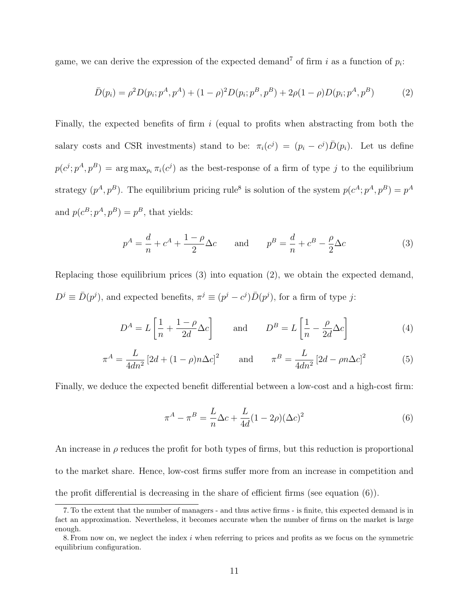game, we can derive the expression of the expected demand<sup>7</sup> of firm i as a function of  $p_i$ :

$$
\bar{D}(p_i) = \rho^2 D(p_i; p^A, p^A) + (1 - \rho)^2 D(p_i; p^B, p^B) + 2\rho(1 - \rho)D(p_i; p^A, p^B)
$$
(2)

Finally, the expected benefits of firm  $i$  (equal to profits when abstracting from both the salary costs and CSR investments) stand to be:  $\pi_i(c^j) = (p_i - c^j) \bar{D}(p_i)$ . Let us define  $p(c^j; p^A, p^B) = \arg \max_{p_i} \pi_i(c^j)$  as the best-response of a firm of type j to the equilibrium strategy  $(p^A, p^B)$ . The equilibrium pricing rule<sup>8</sup> is solution of the system  $p(c^A; p^A, p^B) = p^A$ and  $p(c^B; p^A, p^B) = p^B$ , that yields:

$$
p^{A} = \frac{d}{n} + c^{A} + \frac{1 - \rho}{2} \Delta c \quad \text{and} \quad p^{B} = \frac{d}{n} + c^{B} - \frac{\rho}{2} \Delta c \tag{3}
$$

Replacing those equilibrium prices (3) into equation (2), we obtain the expected demand,  $D^j \equiv \bar{D}(p^j)$ , and expected benefits,  $\pi^j \equiv (p^j - c^j)\bar{D}(p^j)$ , for a firm of type j:

$$
D^{A} = L\left[\frac{1}{n} + \frac{1-\rho}{2d}\Delta c\right] \quad \text{and} \quad D^{B} = L\left[\frac{1}{n} - \frac{\rho}{2d}\Delta c\right] \tag{4}
$$

$$
\pi^{A} = \frac{L}{4dn^{2}} \left[ 2d + (1 - \rho)n\Delta c \right]^{2} \quad \text{and} \quad \pi^{B} = \frac{L}{4dn^{2}} \left[ 2d - pn\Delta c \right]^{2} \quad (5)
$$

Finally, we deduce the expected benefit differential between a low-cost and a high-cost firm:

$$
\pi^A - \pi^B = \frac{L}{n}\Delta c + \frac{L}{4d}(1 - 2\rho)(\Delta c)^2
$$
\n<sup>(6)</sup>

An increase in  $\rho$  reduces the profit for both types of firms, but this reduction is proportional to the market share. Hence, low-cost firms suffer more from an increase in competition and the profit differential is decreasing in the share of efficient firms (see equation (6)).

<sup>7.</sup> To the extent that the number of managers - and thus active firms - is finite, this expected demand is in fact an approximation. Nevertheless, it becomes accurate when the number of firms on the market is large enough.

<sup>8.</sup> From now on, we neglect the index  $i$  when referring to prices and profits as we focus on the symmetric equilibrium configuration.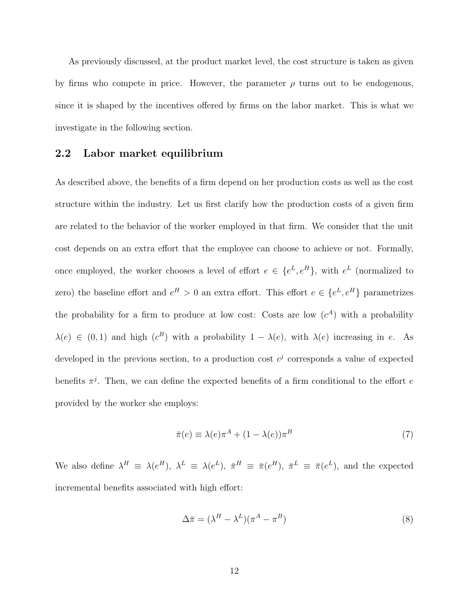As previously discussed, at the product market level, the cost structure is taken as given by firms who compete in price. However, the parameter  $\rho$  turns out to be endogenous, since it is shaped by the incentives offered by firms on the labor market. This is what we investigate in the following section.

#### 2.2 Labor market equilibrium

As described above, the benefits of a firm depend on her production costs as well as the cost structure within the industry. Let us first clarify how the production costs of a given firm are related to the behavior of the worker employed in that firm. We consider that the unit cost depends on an extra effort that the employee can choose to achieve or not. Formally, once employed, the worker chooses a level of effort  $e \in \{e^L, e^H\}$ , with  $e^L$  (normalized to zero) the baseline effort and  $e^H > 0$  an extra effort. This effort  $e \in \{e^L, e^H\}$  parametrizes the probability for a firm to produce at low cost: Costs are low  $(c<sup>A</sup>)$  with a probability  $\lambda(e) \in (0,1)$  and high  $(c^B)$  with a probability  $1 - \lambda(e)$ , with  $\lambda(e)$  increasing in e. As developed in the previous section, to a production cost  $c^j$  corresponds a value of expected benefits  $\pi^{j}$ . Then, we can define the expected benefits of a firm conditional to the effort e provided by the worker she employs:

$$
\bar{\pi}(e) \equiv \lambda(e)\pi^A + (1 - \lambda(e))\pi^B \tag{7}
$$

We also define  $\lambda^H = \lambda(e^H)$ ,  $\lambda^L = \lambda(e^L)$ ,  $\bar{\pi}^H = \bar{\pi}(e^H)$ ,  $\bar{\pi}^L = \bar{\pi}(e^L)$ , and the expected incremental benefits associated with high effort:

$$
\Delta \bar{\pi} = (\lambda^H - \lambda^L)(\pi^A - \pi^B) \tag{8}
$$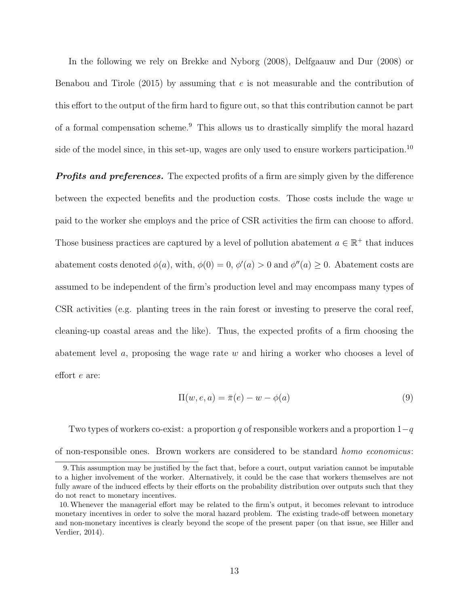In the following we rely on Brekke and Nyborg (2008), Delfgaauw and Dur (2008) or Benabou and Tirole  $(2015)$  by assuming that e is not measurable and the contribution of this effort to the output of the firm hard to figure out, so that this contribution cannot be part of a formal compensation scheme.<sup>9</sup> This allows us to drastically simplify the moral hazard side of the model since, in this set-up, wages are only used to ensure workers participation.<sup>10</sup>

**Profits and preferences.** The expected profits of a firm are simply given by the difference between the expected benefits and the production costs. Those costs include the wage  $w$ paid to the worker she employs and the price of CSR activities the firm can choose to afford. Those business practices are captured by a level of pollution abatement  $a \in \mathbb{R}^+$  that induces abatement costs denoted  $\phi(a)$ , with,  $\phi(0) = 0$ ,  $\phi'(a) > 0$  and  $\phi''(a) \geq 0$ . Abatement costs are assumed to be independent of the firm's production level and may encompass many types of CSR activities (e.g. planting trees in the rain forest or investing to preserve the coral reef, cleaning-up coastal areas and the like). Thus, the expected profits of a firm choosing the abatement level  $a$ , proposing the wage rate  $w$  and hiring a worker who chooses a level of effort e are:

$$
\Pi(w, e, a) = \bar{\pi}(e) - w - \phi(a)
$$
\n(9)

Two types of workers co-exist: a proportion q of responsible workers and a proportion  $1-q$ of non-responsible ones. Brown workers are considered to be standard homo economicus:

<sup>9.</sup> This assumption may be justified by the fact that, before a court, output variation cannot be imputable to a higher involvement of the worker. Alternatively, it could be the case that workers themselves are not fully aware of the induced effects by their efforts on the probability distribution over outputs such that they do not react to monetary incentives.

<sup>10.</sup>Whenever the managerial effort may be related to the firm's output, it becomes relevant to introduce monetary incentives in order to solve the moral hazard problem. The existing trade-off between monetary and non-monetary incentives is clearly beyond the scope of the present paper (on that issue, see Hiller and Verdier, 2014).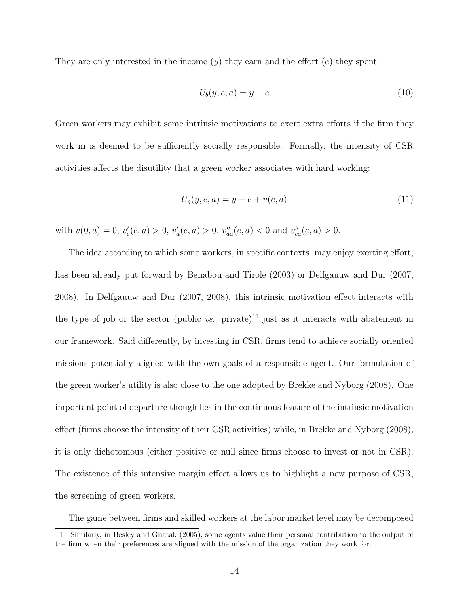They are only interested in the income  $(y)$  they earn and the effort  $(e)$  they spent:

$$
U_b(y, e, a) = y - e \tag{10}
$$

Green workers may exhibit some intrinsic motivations to exert extra efforts if the firm they work in is deemed to be sufficiently socially responsible. Formally, the intensity of CSR activities affects the disutility that a green worker associates with hard working:

$$
U_g(y, e, a) = y - e + v(e, a)
$$
\n(11)

with  $v(0, a) = 0$ ,  $v'_e(e, a) > 0$ ,  $v'_a(e, a) > 0$ ,  $v''_{aa}(e, a) < 0$  and  $v''_{ea}(e, a) > 0$ .

The idea according to which some workers, in specific contexts, may enjoy exerting effort, has been already put forward by Benabou and Tirole (2003) or Delfgauuw and Dur (2007, 2008). In Delfgauuw and Dur (2007, 2008), this intrinsic motivation effect interacts with the type of job or the sector (public vs. private)<sup>11</sup> just as it interacts with abatement in our framework. Said differently, by investing in CSR, firms tend to achieve socially oriented missions potentially aligned with the own goals of a responsible agent. Our formulation of the green worker's utility is also close to the one adopted by Brekke and Nyborg (2008). One important point of departure though lies in the continuous feature of the intrinsic motivation effect (firms choose the intensity of their CSR activities) while, in Brekke and Nyborg (2008), it is only dichotomous (either positive or null since firms choose to invest or not in CSR). The existence of this intensive margin effect allows us to highlight a new purpose of CSR, the screening of green workers.

The game between firms and skilled workers at the labor market level may be decomposed

<sup>11.</sup> Similarly, in Besley and Ghatak (2005), some agents value their personal contribution to the output of the firm when their preferences are aligned with the mission of the organization they work for.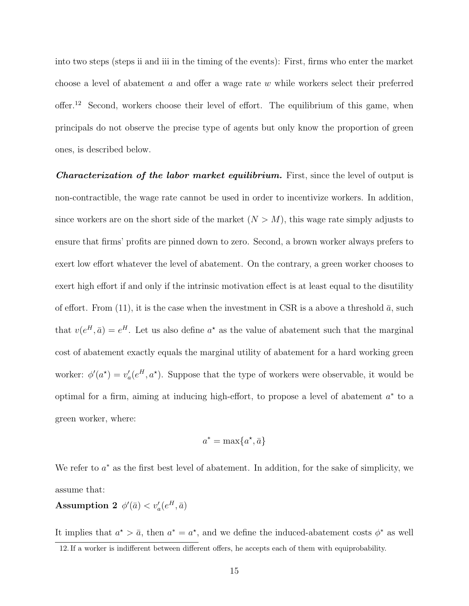into two steps (steps ii and iii in the timing of the events): First, firms who enter the market choose a level of abatement a and offer a wage rate w while workers select their preferred offer.<sup>12</sup> Second, workers choose their level of effort. The equilibrium of this game, when principals do not observe the precise type of agents but only know the proportion of green ones, is described below.

**Characterization of the labor market equilibrium.** First, since the level of output is non-contractible, the wage rate cannot be used in order to incentivize workers. In addition, since workers are on the short side of the market  $(N > M)$ , this wage rate simply adjusts to ensure that firms' profits are pinned down to zero. Second, a brown worker always prefers to exert low effort whatever the level of abatement. On the contrary, a green worker chooses to exert high effort if and only if the intrinsic motivation effect is at least equal to the disutility of effort. From (11), it is the case when the investment in CSR is a above a threshold  $\bar{a}$ , such that  $v(e^H, \bar{a}) = e^H$ . Let us also define  $a^*$  as the value of abatement such that the marginal cost of abatement exactly equals the marginal utility of abatement for a hard working green worker:  $\phi'(a^*) = v_a'(e^H, a^*)$ . Suppose that the type of workers were observable, it would be optimal for a firm, aiming at inducing high-effort, to propose a level of abatement  $a^*$  to a green worker, where:

$$
a^* = \max\{a^*, \bar{a}\}\
$$

We refer to  $a^*$  as the first best level of abatement. In addition, for the sake of simplicity, we assume that:

 $\textbf{Assumption~2} \;\; \phi'(\bar{a}) < v'_{a}(e^{H}, \bar{a})$ 

It implies that  $a^* > \bar{a}$ , then  $a^* = a^*$ , and we define the induced-abatement costs  $\phi^*$  as well 12. If a worker is indifferent between different offers, he accepts each of them with equiprobability.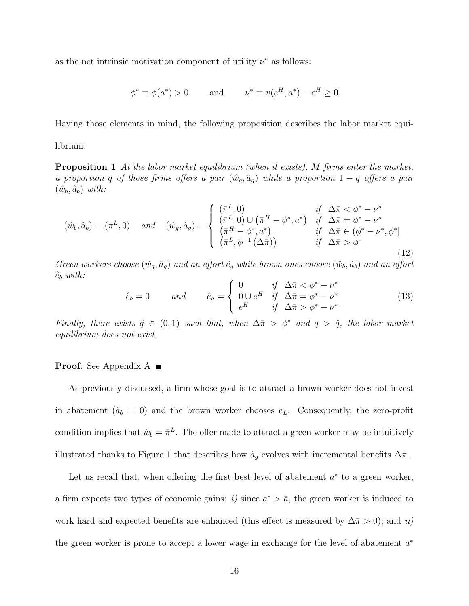as the net intrinsic motivation component of utility  $\nu^*$  as follows:

$$
\phi^* \equiv \phi(a^*) > 0 \quad \text{and} \quad \nu^* \equiv v(e^H, a^*) - e^H \ge 0
$$

Having those elements in mind, the following proposition describes the labor market equi-

librium:

**Proposition 1** At the labor market equilibrium (when it exists), M firms enter the market, a proportion q of those firms offers a pair  $(\hat{w}_g, \hat{a}_g)$  while a proportion  $1-q$  offers a pair  $(\hat{w}_b, \hat{a}_b)$  with:

$$
(\hat{w}_b, \hat{a}_b) = (\bar{\pi}^L, 0) \quad and \quad (\hat{w}_g, \hat{a}_g) = \begin{cases} (\bar{\pi}^L, 0) & \text{if } \Delta \bar{\pi} < \phi^* - \nu^* \\ (\bar{\pi}^L, 0) \cup (\bar{\pi}^H - \phi^*, a^*) & \text{if } \Delta \bar{\pi} = \phi^* - \nu^* \\ (\bar{\pi}^H - \phi^*, a^*) & \text{if } \Delta \bar{\pi} \in (\phi^* - \nu^*, \phi^*] \\ (\bar{\pi}^L, \phi^{-1}(\Delta \bar{\pi})) & \text{if } \Delta \bar{\pi} > \phi^* \end{cases}
$$
(12)

Green workers choose  $(\hat{w}_q, \hat{a}_q)$  and an effort  $\hat{e}_q$  while brown ones choose  $(\hat{w}_b, \hat{a}_b)$  and an effort  $\hat{e}_b$  with:

$$
\hat{e}_b = 0 \qquad \text{and} \qquad \hat{e}_g = \begin{cases} 0 & \text{if } \Delta \bar{\pi} < \phi^* - \nu^* \\ 0 \cup e^H & \text{if } \Delta \bar{\pi} = \phi^* - \nu^* \\ e^H & \text{if } \Delta \bar{\pi} > \phi^* - \nu^* \end{cases} \tag{13}
$$

Finally, there exists  $\hat{q} \in (0,1)$  such that, when  $\Delta \bar{\pi} > \phi^*$  and  $q > \hat{q}$ , the labor market equilibrium does not exist.

#### **Proof.** See Appendix A

As previously discussed, a firm whose goal is to attract a brown worker does not invest in abatement ( $\hat{a}_b = 0$ ) and the brown worker chooses  $e_L$ . Consequently, the zero-profit condition implies that  $\hat{w}_b = \bar{\pi}^L$ . The offer made to attract a green worker may be intuitively illustrated thanks to Figure 1 that describes how  $\hat{a}_g$  evolves with incremental benefits  $\Delta \bar{\pi}$ .

Let us recall that, when offering the first best level of abatement  $a^*$  to a green worker, a firm expects two types of economic gains: i) since  $a^* > \bar{a}$ , the green worker is induced to work hard and expected benefits are enhanced (this effect is measured by  $\Delta \bar{\pi} > 0$ ); and ii) the green worker is prone to accept a lower wage in exchange for the level of abatement  $a^*$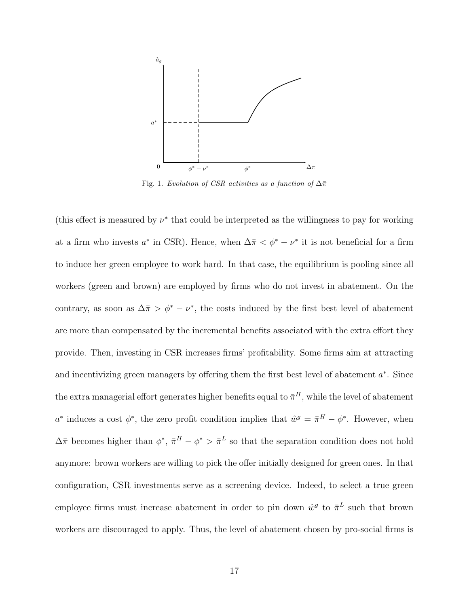

Fig. 1. Evolution of CSR activities as a function of  $\Delta \bar{\pi}$ 

(this effect is measured by  $\nu^*$  that could be interpreted as the willingness to pay for working at a firm who invests  $a^*$  in CSR). Hence, when  $\Delta \bar{\pi} < \phi^* - \nu^*$  it is not beneficial for a firm to induce her green employee to work hard. In that case, the equilibrium is pooling since all workers (green and brown) are employed by firms who do not invest in abatement. On the contrary, as soon as  $\Delta \bar{\pi} > \phi^* - \nu^*$ , the costs induced by the first best level of abatement are more than compensated by the incremental benefits associated with the extra effort they provide. Then, investing in CSR increases firms' profitability. Some firms aim at attracting and incentivizing green managers by offering them the first best level of abatement  $a^*$ . Since the extra managerial effort generates higher benefits equal to  $\bar{\pi}^H$ , while the level of abatement a<sup>\*</sup> induces a cost  $\phi^*$ , the zero profit condition implies that  $\hat{w}^g = \bar{\pi}^H - \phi^*$ . However, when  $\Delta \bar{\pi}$  becomes higher than  $\phi^*, \bar{\pi}^H - \phi^* > \bar{\pi}^L$  so that the separation condition does not hold anymore: brown workers are willing to pick the offer initially designed for green ones. In that configuration, CSR investments serve as a screening device. Indeed, to select a true green employee firms must increase abatement in order to pin down  $\hat{w}^g$  to  $\bar{\pi}^L$  such that brown workers are discouraged to apply. Thus, the level of abatement chosen by pro-social firms is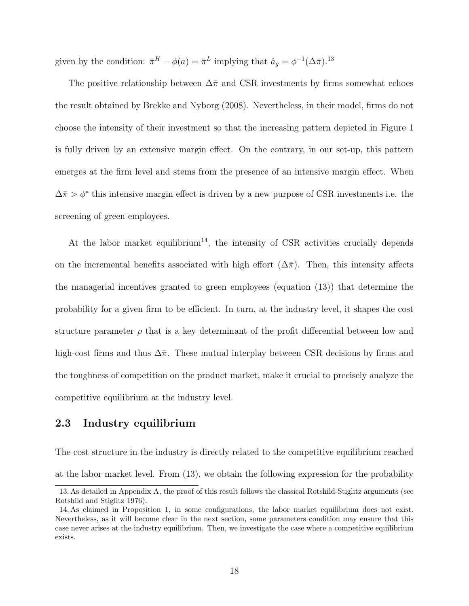given by the condition:  $\bar{\pi}^H - \phi(a) = \bar{\pi}^L$  implying that  $\hat{a}_g = \phi^{-1}(\Delta \bar{\pi})^{13}$ 

The positive relationship between  $\Delta \bar{\pi}$  and CSR investments by firms somewhat echoes the result obtained by Brekke and Nyborg (2008). Nevertheless, in their model, firms do not choose the intensity of their investment so that the increasing pattern depicted in Figure 1 is fully driven by an extensive margin effect. On the contrary, in our set-up, this pattern emerges at the firm level and stems from the presence of an intensive margin effect. When  $\Delta \bar{\pi} > \phi^*$  this intensive margin effect is driven by a new purpose of CSR investments i.e. the screening of green employees.

At the labor market equilibrium<sup>14</sup>, the intensity of CSR activities crucially depends on the incremental benefits associated with high effort  $(\Delta \bar{\pi})$ . Then, this intensity affects the managerial incentives granted to green employees (equation (13)) that determine the probability for a given firm to be efficient. In turn, at the industry level, it shapes the cost structure parameter  $\rho$  that is a key determinant of the profit differential between low and high-cost firms and thus  $\Delta \bar{\pi}$ . These mutual interplay between CSR decisions by firms and the toughness of competition on the product market, make it crucial to precisely analyze the competitive equilibrium at the industry level.

#### 2.3 Industry equilibrium

The cost structure in the industry is directly related to the competitive equilibrium reached at the labor market level. From (13), we obtain the following expression for the probability

<sup>13.</sup> As detailed in Appendix A, the proof of this result follows the classical Rotshild-Stiglitz arguments (see Rotshild and Stiglitz 1976).

<sup>14.</sup> As claimed in Proposition 1, in some configurations, the labor market equilibrium does not exist. Nevertheless, as it will become clear in the next section, some parameters condition may ensure that this case never arises at the industry equilibrium. Then, we investigate the case where a competitive equilibrium exists.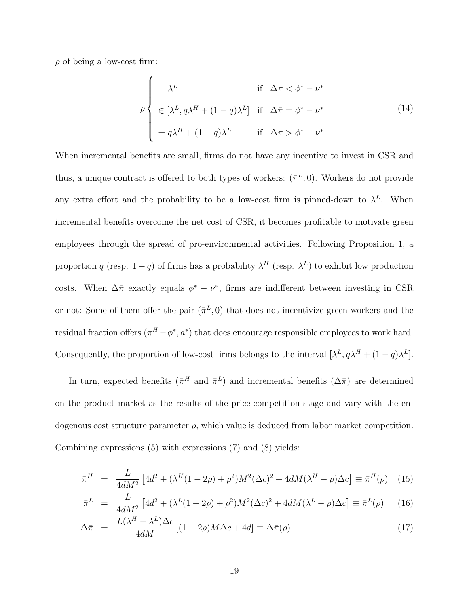$\rho$  of being a low-cost firm:

$$
\rho \begin{cases}\n= \lambda^L & \text{if } \Delta \bar{\pi} < \phi^* - \nu^* \\
\in [\lambda^L, q \lambda^H + (1 - q) \lambda^L] & \text{if } \Delta \bar{\pi} = \phi^* - \nu^* \\
= q \lambda^H + (1 - q) \lambda^L & \text{if } \Delta \bar{\pi} > \phi^* - \nu^*\n\end{cases}
$$
\n(14)

When incremental benefits are small, firms do not have any incentive to invest in CSR and thus, a unique contract is offered to both types of workers:  $(\bar{\pi}^L, 0)$ . Workers do not provide any extra effort and the probability to be a low-cost firm is pinned-down to  $\lambda^L$ . When incremental benefits overcome the net cost of CSR, it becomes profitable to motivate green employees through the spread of pro-environmental activities. Following Proposition 1, a proportion q (resp. 1 – q) of firms has a probability  $\lambda^H$  (resp.  $\lambda^L$ ) to exhibit low production costs. When  $\Delta \bar{\pi}$  exactly equals  $\phi^* - \nu^*$ , firms are indifferent between investing in CSR or not: Some of them offer the pair  $(\bar{\pi}^L, 0)$  that does not incentivize green workers and the residual fraction offers  $(\bar{\pi}^H - \phi^*, a^*)$  that does encourage responsible employees to work hard. Consequently, the proportion of low-cost firms belongs to the interval  $[\lambda^L, q\lambda^H + (1-q)\lambda^L]$ .

In turn, expected benefits  $(\bar{\pi}^H \text{ and } \bar{\pi}^L)$  and incremental benefits  $(\Delta \bar{\pi})$  are determined on the product market as the results of the price-competition stage and vary with the endogenous cost structure parameter  $\rho$ , which value is deduced from labor market competition. Combining expressions (5) with expressions (7) and (8) yields:

$$
\bar{\pi}^H = \frac{L}{4dM^2} \left[ 4d^2 + (\lambda^H (1 - 2\rho) + \rho^2) M^2 (\Delta c)^2 + 4dM(\lambda^H - \rho) \Delta c \right] \equiv \bar{\pi}^H(\rho) \quad (15)
$$

$$
\bar{\pi}^L = \frac{L}{4dM^2} \left[ 4d^2 + (\lambda^L (1 - 2\rho) + \rho^2) M^2 (\Delta c)^2 + 4dM(\lambda^L - \rho) \Delta c \right] \equiv \bar{\pi}^L(\rho) \tag{16}
$$

$$
\Delta \bar{\pi} = \frac{L(\lambda^H - \lambda^L)\Delta c}{4dM} [(1 - 2\rho)M\Delta c + 4d] \equiv \Delta \bar{\pi}(\rho)
$$
\n(17)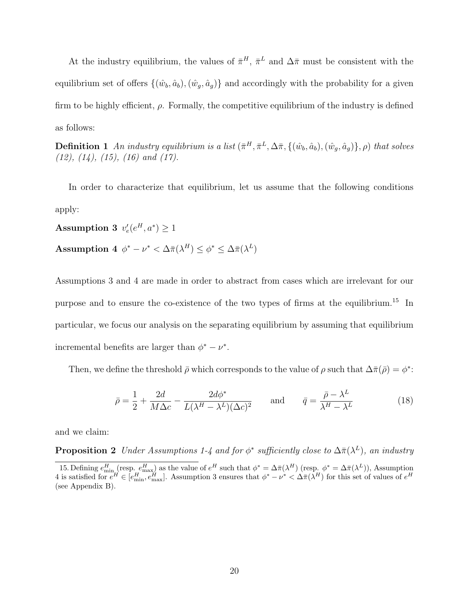At the industry equilibrium, the values of  $\bar{\pi}^H$ ,  $\bar{\pi}^L$  and  $\Delta \bar{\pi}$  must be consistent with the equilibrium set of offers  $\{(\hat{w}_b, \hat{a}_b),(\hat{w}_q, \hat{a}_q)\}\$ and accordingly with the probability for a given firm to be highly efficient,  $\rho$ . Formally, the competitive equilibrium of the industry is defined as follows:

**Definition 1** An industry equilibrium is a list  $(\bar{\pi}^H, \bar{\pi}^L, \Delta \bar{\pi}, \{(\hat{w}_b, \hat{a}_b), (\hat{w}_g, \hat{a}_g)\}, \rho)$  that solves  $(12)$ ,  $(14)$ ,  $(15)$ ,  $(16)$  and  $(17)$ .

In order to characterize that equilibrium, let us assume that the following conditions apply:

 $\textbf{Assumption 3}\;\; v_e'(e^H, a^*) \geq 1$ 

Assumption 4  $\phi^* - \nu^* < \Delta \bar{\pi}(\lambda^H) \leq \phi^* \leq \Delta \bar{\pi}(\lambda^L)$ 

Assumptions 3 and 4 are made in order to abstract from cases which are irrelevant for our purpose and to ensure the co-existence of the two types of firms at the equilibrium.<sup>15</sup> In particular, we focus our analysis on the separating equilibrium by assuming that equilibrium incremental benefits are larger than  $\phi^* - \nu^*$ .

Then, we define the threshold  $\bar{\rho}$  which corresponds to the value of  $\rho$  such that  $\Delta \bar{\pi}(\bar{\rho}) = \phi^*$ :

$$
\bar{\rho} = \frac{1}{2} + \frac{2d}{M\Delta c} - \frac{2d\phi^*}{L(\lambda^H - \lambda^L)(\Delta c)^2} \quad \text{and} \quad \bar{q} = \frac{\bar{\rho} - \lambda^L}{\lambda^H - \lambda^L} \tag{18}
$$

and we claim:

**Proposition 2** Under Assumptions 1-4 and for  $\phi^*$  sufficiently close to  $\Delta \bar{\pi}(\lambda^L)$ , an industry

<sup>15.</sup> Defining  $e_{\min}^H$  (resp.  $e_{\max}^H$ ) as the value of  $e^H$  such that  $\phi^* = \Delta \bar{\pi}(\lambda^H)$  (resp.  $\phi^* = \Delta \bar{\pi}(\lambda^L)$ ), Assumption 4 is satisfied for  $e^H \in [e_{\min}^H, e_{\max}^H]$ . Assumption 3 ensures that  $\phi^* - \nu^* < \Delta \bar{\pi}(\lambda^H)$  for this set of values of  $e^H$ (see Appendix B).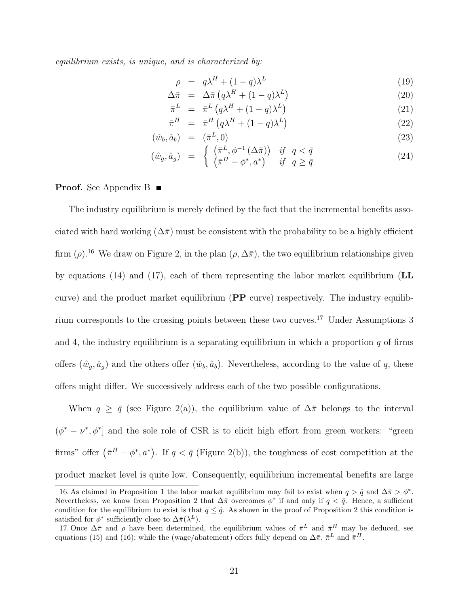equilibrium exists, is unique, and is characterized by:

$$
\rho = q\lambda^H + (1 - q)\lambda^L \tag{19}
$$

$$
\Delta \bar{\pi} = \Delta \bar{\pi} \left( q \lambda^H + (1 - q) \lambda^L \right) \tag{20}
$$

$$
\bar{\pi}^L = \bar{\pi}^L \left( q \lambda^H + (1 - q) \lambda^L \right) \tag{21}
$$

$$
\bar{\pi}^H = \bar{\pi}^H \left( q \lambda^H + (1 - q) \lambda^L \right) \tag{22}
$$

$$
(\hat{w}_b, \hat{a}_b) = (\bar{\pi}^L, 0) \tag{23}
$$

$$
(\hat{w}_g, \hat{a}_g) = \begin{cases} (\bar{\pi}^L, \phi^{-1}(\Delta \bar{\pi})) & \text{if } q < \bar{q} \\ (\bar{\pi}^H - \phi^*, a^*) & \text{if } q \ge \bar{q} \end{cases}
$$
(24)

**Proof.** See Appendix B ■

The industry equilibrium is merely defined by the fact that the incremental benefits associated with hard working  $(\Delta \bar{\pi})$  must be consistent with the probability to be a highly efficient firm ( $\rho$ ).<sup>16</sup> We draw on Figure 2, in the plan ( $\rho$ ,  $\Delta \bar{\pi}$ ), the two equilibrium relationships given by equations (14) and (17), each of them representing the labor market equilibrium (LL curve) and the product market equilibrium (PP curve) respectively. The industry equilibrium corresponds to the crossing points between these two curves.<sup>17</sup> Under Assumptions 3 and 4, the industry equilibrium is a separating equilibrium in which a proportion  $q$  of firms offers  $(\hat{w}_g, \hat{a}_g)$  and the others offer  $(\hat{w}_b, \hat{a}_b)$ . Nevertheless, according to the value of q, these offers might differ. We successively address each of the two possible configurations.

When  $q \geq \bar{q}$  (see Figure 2(a)), the equilibrium value of  $\Delta \bar{\pi}$  belongs to the interval  $(\phi^* - \nu^*, \phi^*)$  and the sole role of CSR is to elicit high effort from green workers: "green" firms" offer  $(\bar{\pi}^H - \phi^*, a^*)$ . If  $q < \bar{q}$  (Figure 2(b)), the toughness of cost competition at the product market level is quite low. Consequently, equilibrium incremental benefits are large

<sup>16.</sup> As claimed in Proposition 1 the labor market equilibrium may fail to exist when  $q > \hat{q}$  and  $\Delta \bar{\pi} > \phi^*$ . Nevertheless, we know from Proposition 2 that  $\Delta \bar{\pi}$  overcomes  $\phi^*$  if and only if  $q < \bar{q}$ . Hence, a sufficient condition for the equilibrium to exist is that  $\bar{q} \leq \hat{q}$ . As shown in the proof of Proposition 2 this condition is satisfied for  $\phi^*$  sufficiently close to  $\Delta \bar{\pi}(\lambda^L)$ .

<sup>17.</sup> Once  $\Delta \bar{\pi}$  and  $\rho$  have been determined, the equilibrium values of  $\bar{\pi}^L$  and  $\bar{\pi}^H$  may be deduced, see equations (15) and (16); while the (wage/abatement) offers fully depend on  $\Delta \bar{\pi}$ ,  $\bar{\pi}^L$  and  $\bar{\pi}^H$ .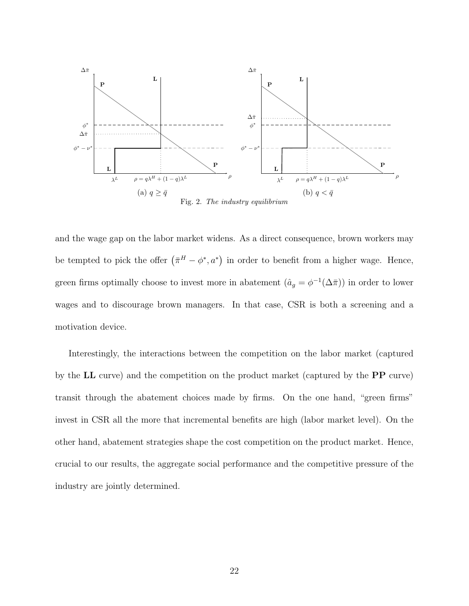

Fig. 2. The industry equilibrium

and the wage gap on the labor market widens. As a direct consequence, brown workers may be tempted to pick the offer  $(\bar{\pi}^H - \phi^*, a^*)$  in order to benefit from a higher wage. Hence, green firms optimally choose to invest more in abatement  $(\hat{a}_g = \phi^{-1}(\Delta \bar{\pi}))$  in order to lower wages and to discourage brown managers. In that case, CSR is both a screening and a motivation device.

Interestingly, the interactions between the competition on the labor market (captured by the LL curve) and the competition on the product market (captured by the PP curve) transit through the abatement choices made by firms. On the one hand, "green firms" invest in CSR all the more that incremental benefits are high (labor market level). On the other hand, abatement strategies shape the cost competition on the product market. Hence, crucial to our results, the aggregate social performance and the competitive pressure of the industry are jointly determined.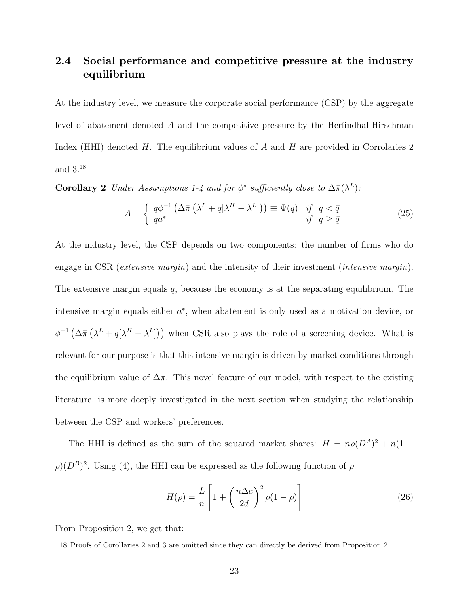## 2.4 Social performance and competitive pressure at the industry equilibrium

At the industry level, we measure the corporate social performance (CSP) by the aggregate level of abatement denoted A and the competitive pressure by the Herfindhal-Hirschman Index (HHI) denoted  $H$ . The equilibrium values of  $A$  and  $H$  are provided in Corrolaries 2 and 3.<sup>18</sup>

**Corollary 2** Under Assumptions 1-4 and for  $\phi^*$  sufficiently close to  $\Delta \bar{\pi}(\lambda^L)$ :

$$
A = \begin{cases} q\phi^{-1} \left( \Delta \bar{\pi} \left( \lambda^L + q[\lambda^H - \lambda^L] \right) \right) \equiv \Psi(q) & \text{if } q < \bar{q} \\ qa^* & \text{if } q \ge \bar{q} \end{cases}
$$
 (25)

At the industry level, the CSP depends on two components: the number of firms who do engage in CSR (extensive margin) and the intensity of their investment (intensive margin). The extensive margin equals  $q$ , because the economy is at the separating equilibrium. The intensive margin equals either  $a^*$ , when abatement is only used as a motivation device, or  $\phi^{-1}(\Delta \bar{\pi} (\lambda^L + q[\lambda^H - \lambda^L]))$  when CSR also plays the role of a screening device. What is relevant for our purpose is that this intensive margin is driven by market conditions through the equilibrium value of  $\Delta \bar{\pi}$ . This novel feature of our model, with respect to the existing literature, is more deeply investigated in the next section when studying the relationship between the CSP and workers' preferences.

The HHI is defined as the sum of the squared market shares:  $H = n\rho(D^A)^2 + n(1 \rho(D^B)^2$ . Using (4), the HHI can be expressed as the following function of  $\rho$ .

$$
H(\rho) = \frac{L}{n} \left[ 1 + \left( \frac{n \Delta c}{2d} \right)^2 \rho (1 - \rho) \right]
$$
 (26)

From Proposition 2, we get that:

<sup>18.</sup> Proofs of Corollaries 2 and 3 are omitted since they can directly be derived from Proposition 2.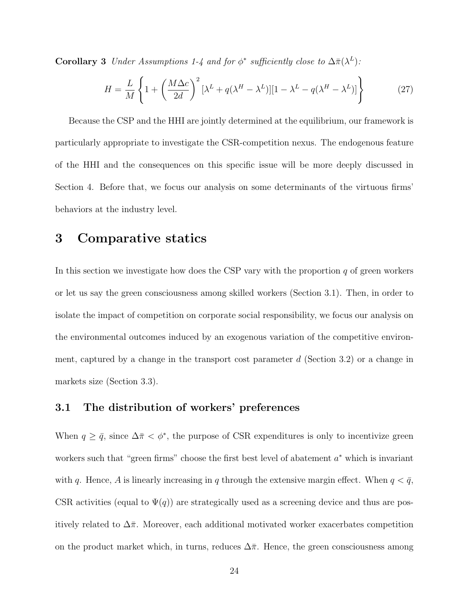**Corollary 3** Under Assumptions 1-4 and for  $\phi^*$  sufficiently close to  $\Delta \bar{\pi}(\lambda^L)$ :

$$
H = \frac{L}{M} \left\{ 1 + \left( \frac{M\Delta c}{2d} \right)^2 \left[ \lambda^L + q(\lambda^H - \lambda^L) \right] \left[ 1 - \lambda^L - q(\lambda^H - \lambda^L) \right] \right\}
$$
(27)

Because the CSP and the HHI are jointly determined at the equilibrium, our framework is particularly appropriate to investigate the CSR-competition nexus. The endogenous feature of the HHI and the consequences on this specific issue will be more deeply discussed in Section 4. Before that, we focus our analysis on some determinants of the virtuous firms' behaviors at the industry level.

## 3 Comparative statics

In this section we investigate how does the CSP vary with the proportion  $q$  of green workers or let us say the green consciousness among skilled workers (Section 3.1). Then, in order to isolate the impact of competition on corporate social responsibility, we focus our analysis on the environmental outcomes induced by an exogenous variation of the competitive environment, captured by a change in the transport cost parameter  $d$  (Section 3.2) or a change in markets size (Section 3.3).

#### 3.1 The distribution of workers' preferences

When  $q \geq \bar{q}$ , since  $\Delta \bar{\pi} < \phi^*$ , the purpose of CSR expenditures is only to incentivize green workers such that "green firms" choose the first best level of abatement  $a^*$  which is invariant with q. Hence, A is linearly increasing in q through the extensive margin effect. When  $q < \bar{q}$ , CSR activities (equal to  $\Psi(q)$ ) are strategically used as a screening device and thus are positively related to  $\Delta \bar{\pi}$ . Moreover, each additional motivated worker exacerbates competition on the product market which, in turns, reduces  $\Delta \bar{\pi}$ . Hence, the green consciousness among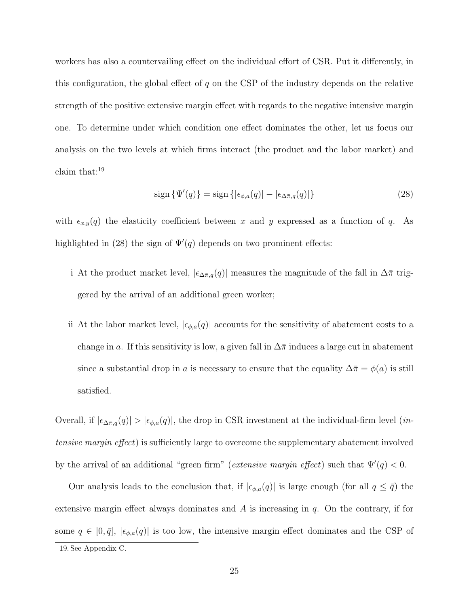workers has also a countervailing effect on the individual effort of CSR. Put it differently, in this configuration, the global effect of  $q$  on the CSP of the industry depends on the relative strength of the positive extensive margin effect with regards to the negative intensive margin one. To determine under which condition one effect dominates the other, let us focus our analysis on the two levels at which firms interact (the product and the labor market) and claim that:<sup>19</sup>

$$
\operatorname{sign}\left\{\Psi'(q)\right\} = \operatorname{sign}\left\{|\epsilon_{\phi,a}(q)| - |\epsilon_{\Delta\bar{\pi},q}(q)|\right\} \tag{28}
$$

with  $\epsilon_{x,y}(q)$  the elasticity coefficient between x and y expressed as a function of q. As highlighted in (28) the sign of  $\Psi'(q)$  depends on two prominent effects:

- i At the product market level,  $|\epsilon_{\Delta \bar{\pi},q}(q)|$  measures the magnitude of the fall in  $\Delta \bar{\pi}$  triggered by the arrival of an additional green worker;
- ii At the labor market level,  $|\epsilon_{\phi,a}(q)|$  accounts for the sensitivity of abatement costs to a change in a. If this sensitivity is low, a given fall in  $\Delta \bar{\pi}$  induces a large cut in abatement since a substantial drop in a is necessary to ensure that the equality  $\Delta \bar{\pi} = \phi(a)$  is still satisfied.

Overall, if  $|\epsilon_{\Delta \bar{\pi},q}(q)| > |\epsilon_{\phi,a}(q)|$ , the drop in CSR investment at the individual-firm level (*in*tensive margin effect) is sufficiently large to overcome the supplementary abatement involved by the arrival of an additional "green firm" (*extensive margin effect*) such that  $\Psi'(q) < 0$ .

Our analysis leads to the conclusion that, if  $|\epsilon_{\phi,a}(q)|$  is large enough (for all  $q \leq \bar{q}$ ) the extensive margin effect always dominates and  $A$  is increasing in  $q$ . On the contrary, if for some  $q \in [0, \bar{q}], |\epsilon_{\phi,a}(q)|$  is too low, the intensive margin effect dominates and the CSP of 19. See Appendix C.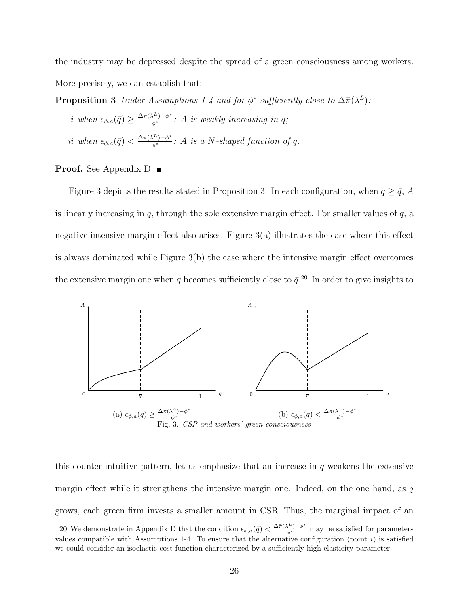the industry may be depressed despite the spread of a green consciousness among workers. More precisely, we can establish that:

**Proposition 3** Under Assumptions 1-4 and for  $\phi^*$  sufficiently close to  $\Delta \bar{\pi}(\lambda^L)$ :

*i* when  $\epsilon_{\phi,a}(\bar{q}) \geq \frac{\Delta \bar{\pi}(\lambda^L) - \phi^*}{\phi^*}$ : A is weakly increasing in q; ii when  $\epsilon_{\phi,a}(\bar{q}) < \frac{\Delta \bar{\pi}(\lambda^L) - \phi^*}{\phi^*}$ : A is a N-shaped function of q.

#### **Proof.** See Appendix  $D$

Figure 3 depicts the results stated in Proposition 3. In each configuration, when  $q \ge \bar{q}$ , A is linearly increasing in  $q$ , through the sole extensive margin effect. For smaller values of  $q$ , a negative intensive margin effect also arises. Figure 3(a) illustrates the case where this effect is always dominated while Figure 3(b) the case where the intensive margin effect overcomes the extensive margin one when q becomes sufficiently close to  $\bar{q}$ <sup>20</sup>. In order to give insights to



this counter-intuitive pattern, let us emphasize that an increase in  $q$  weakens the extensive margin effect while it strengthens the intensive margin one. Indeed, on the one hand, as  $q$ grows, each green firm invests a smaller amount in CSR. Thus, the marginal impact of an

<sup>20.</sup> We demonstrate in Appendix D that the condition  $\epsilon_{\phi,a}(\bar{q}) < \frac{\Delta \bar{\pi}(\lambda^L) - \phi^*}{\phi^*}$  may be satisfied for parameters values compatible with Assumptions 1-4. To ensure that the alternative configuration (point  $i$ ) is satisfied we could consider an isoelastic cost function characterized by a sufficiently high elasticity parameter.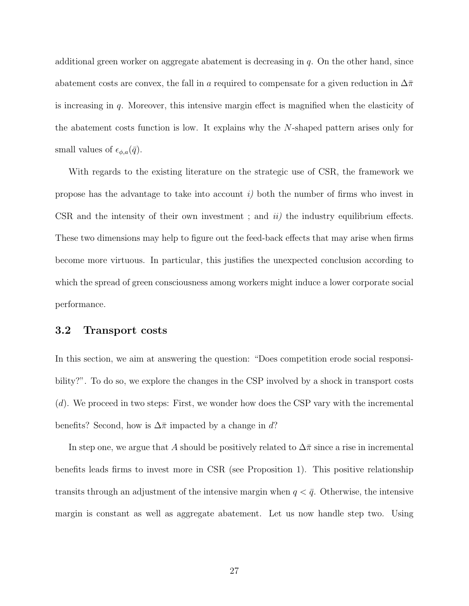additional green worker on aggregate abatement is decreasing in  $q$ . On the other hand, since abatement costs are convex, the fall in a required to compensate for a given reduction in  $\Delta \bar{\pi}$ is increasing in q. Moreover, this intensive margin effect is magnified when the elasticity of the abatement costs function is low. It explains why the N-shaped pattern arises only for small values of  $\epsilon_{\phi,a}(\bar{q})$ .

With regards to the existing literature on the strategic use of CSR, the framework we propose has the advantage to take into account  $i$ ) both the number of firms who invest in CSR and the intensity of their own investment; and  $ii$  the industry equilibrium effects. These two dimensions may help to figure out the feed-back effects that may arise when firms become more virtuous. In particular, this justifies the unexpected conclusion according to which the spread of green consciousness among workers might induce a lower corporate social performance.

#### 3.2 Transport costs

In this section, we aim at answering the question: "Does competition erode social responsibility?". To do so, we explore the changes in the CSP involved by a shock in transport costs (d). We proceed in two steps: First, we wonder how does the CSP vary with the incremental benefits? Second, how is  $\Delta \bar{\pi}$  impacted by a change in d?

In step one, we argue that A should be positively related to  $\Delta\bar{\pi}$  since a rise in incremental benefits leads firms to invest more in CSR (see Proposition 1). This positive relationship transits through an adjustment of the intensive margin when  $q < \bar{q}$ . Otherwise, the intensive margin is constant as well as aggregate abatement. Let us now handle step two. Using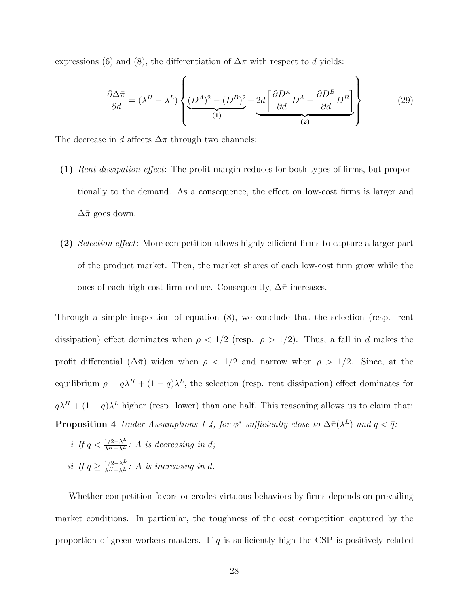expressions (6) and (8), the differentiation of  $\Delta \bar{\pi}$  with respect to d yields:

$$
\frac{\partial \Delta \bar{\pi}}{\partial d} = (\lambda^H - \lambda^L) \left\{ \underbrace{(D^A)^2 - (D^B)^2}_{(1)} + \underbrace{2d \left[ \frac{\partial D^A}{\partial d} D^A - \frac{\partial D^B}{\partial d} D^B \right]}_{(2)} \right\} \tag{29}
$$

The decrease in d affects  $\Delta \bar{\pi}$  through two channels:

- (1) Rent dissipation effect: The profit margin reduces for both types of firms, but proportionally to the demand. As a consequence, the effect on low-cost firms is larger and  $\Delta \bar{\pi}$  goes down.
- (2) Selection effect: More competition allows highly efficient firms to capture a larger part of the product market. Then, the market shares of each low-cost firm grow while the ones of each high-cost firm reduce. Consequently,  $\Delta \bar{\pi}$  increases.

Through a simple inspection of equation (8), we conclude that the selection (resp. rent dissipation) effect dominates when  $\rho < 1/2$  (resp.  $\rho > 1/2$ ). Thus, a fall in d makes the profit differential  $(\Delta \bar{\pi})$  widen when  $\rho < 1/2$  and narrow when  $\rho > 1/2$ . Since, at the equilibrium  $\rho = q\lambda^H + (1-q)\lambda^L$ , the selection (resp. rent dissipation) effect dominates for  $q\lambda^H + (1-q)\lambda^L$  higher (resp. lower) than one half. This reasoning allows us to claim that: **Proposition 4** Under Assumptions 1-4, for  $\phi^*$  sufficiently close to  $\Delta \bar{\pi}(\lambda^L)$  and  $q < \bar{q}$ .

i If  $q < \frac{1/2 - \lambda^L}{\lambda^H - \lambda^L}$ : A is decreasing in d; ii If  $q \geq \frac{1/2 - \lambda^L}{\lambda^H - \lambda^L}$ : A is increasing in d.

Whether competition favors or erodes virtuous behaviors by firms depends on prevailing market conditions. In particular, the toughness of the cost competition captured by the proportion of green workers matters. If  $q$  is sufficiently high the CSP is positively related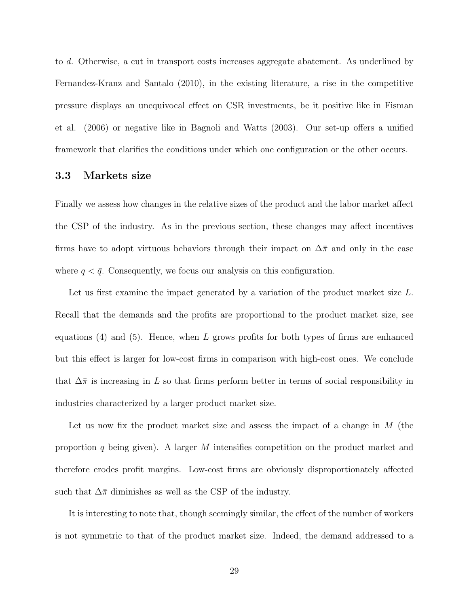to d. Otherwise, a cut in transport costs increases aggregate abatement. As underlined by Fernandez-Kranz and Santalo (2010), in the existing literature, a rise in the competitive pressure displays an unequivocal effect on CSR investments, be it positive like in Fisman et al. (2006) or negative like in Bagnoli and Watts (2003). Our set-up offers a unified framework that clarifies the conditions under which one configuration or the other occurs.

#### 3.3 Markets size

Finally we assess how changes in the relative sizes of the product and the labor market affect the CSP of the industry. As in the previous section, these changes may affect incentives firms have to adopt virtuous behaviors through their impact on  $\Delta \bar{\pi}$  and only in the case where  $q < \bar{q}$ . Consequently, we focus our analysis on this configuration.

Let us first examine the impact generated by a variation of the product market size L. Recall that the demands and the profits are proportional to the product market size, see equations  $(4)$  and  $(5)$ . Hence, when L grows profits for both types of firms are enhanced but this effect is larger for low-cost firms in comparison with high-cost ones. We conclude that  $\Delta \bar{\pi}$  is increasing in L so that firms perform better in terms of social responsibility in industries characterized by a larger product market size.

Let us now fix the product market size and assess the impact of a change in  $M$  (the proportion q being given). A larger M intensifies competition on the product market and therefore erodes profit margins. Low-cost firms are obviously disproportionately affected such that  $\Delta \bar{\pi}$  diminishes as well as the CSP of the industry.

It is interesting to note that, though seemingly similar, the effect of the number of workers is not symmetric to that of the product market size. Indeed, the demand addressed to a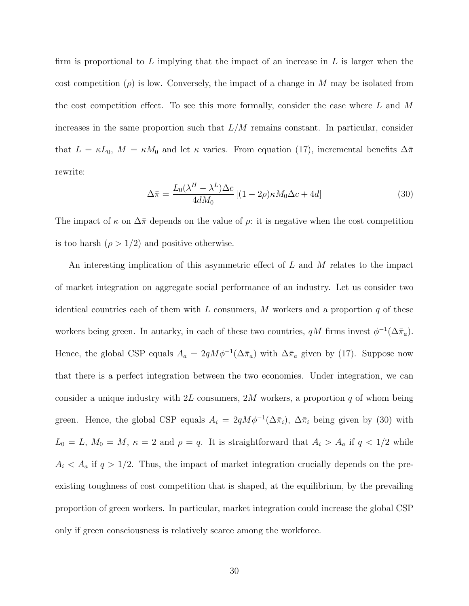firm is proportional to  $L$  implying that the impact of an increase in  $L$  is larger when the cost competition  $(\rho)$  is low. Conversely, the impact of a change in M may be isolated from the cost competition effect. To see this more formally, consider the case where  $L$  and  $M$ increases in the same proportion such that  $L/M$  remains constant. In particular, consider that  $L = \kappa L_0$ ,  $M = \kappa M_0$  and let  $\kappa$  varies. From equation (17), incremental benefits  $\Delta \bar{\pi}$ rewrite:

$$
\Delta \bar{\pi} = \frac{L_0(\lambda^H - \lambda^L)\Delta c}{4dM_0} \left[ (1 - 2\rho)\kappa M_0 \Delta c + 4d \right]
$$
 (30)

The impact of  $\kappa$  on  $\Delta \bar{\pi}$  depends on the value of  $\rho$ : it is negative when the cost competition is too harsh  $(\rho > 1/2)$  and positive otherwise.

An interesting implication of this asymmetric effect of  $L$  and  $M$  relates to the impact of market integration on aggregate social performance of an industry. Let us consider two identical countries each of them with L consumers, M workers and a proportion  $q$  of these workers being green. In autarky, in each of these two countries,  $qM$  firms invest  $\phi^{-1}(\Delta \bar{\pi}_a)$ . Hence, the global CSP equals  $A_a = 2qM\phi^{-1}(\Delta \bar{\pi}_a)$  with  $\Delta \bar{\pi}_a$  given by (17). Suppose now that there is a perfect integration between the two economies. Under integration, we can consider a unique industry with 2L consumers, 2M workers, a proportion  $q$  of whom being green. Hence, the global CSP equals  $A_i = 2qM\phi^{-1}(\Delta \bar{\pi}_i)$ ,  $\Delta \bar{\pi}_i$  being given by (30) with  $L_0 = L$ ,  $M_0 = M$ ,  $\kappa = 2$  and  $\rho = q$ . It is straightforward that  $A_i > A_a$  if  $q < 1/2$  while  $A_i < A_a$  if  $q > 1/2$ . Thus, the impact of market integration crucially depends on the preexisting toughness of cost competition that is shaped, at the equilibrium, by the prevailing proportion of green workers. In particular, market integration could increase the global CSP only if green consciousness is relatively scarce among the workforce.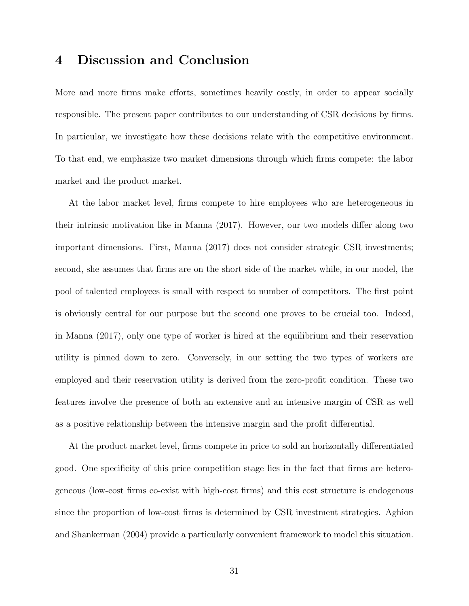## 4 Discussion and Conclusion

More and more firms make efforts, sometimes heavily costly, in order to appear socially responsible. The present paper contributes to our understanding of CSR decisions by firms. In particular, we investigate how these decisions relate with the competitive environment. To that end, we emphasize two market dimensions through which firms compete: the labor market and the product market.

At the labor market level, firms compete to hire employees who are heterogeneous in their intrinsic motivation like in Manna (2017). However, our two models differ along two important dimensions. First, Manna (2017) does not consider strategic CSR investments; second, she assumes that firms are on the short side of the market while, in our model, the pool of talented employees is small with respect to number of competitors. The first point is obviously central for our purpose but the second one proves to be crucial too. Indeed, in Manna (2017), only one type of worker is hired at the equilibrium and their reservation utility is pinned down to zero. Conversely, in our setting the two types of workers are employed and their reservation utility is derived from the zero-profit condition. These two features involve the presence of both an extensive and an intensive margin of CSR as well as a positive relationship between the intensive margin and the profit differential.

At the product market level, firms compete in price to sold an horizontally differentiated good. One specificity of this price competition stage lies in the fact that firms are heterogeneous (low-cost firms co-exist with high-cost firms) and this cost structure is endogenous since the proportion of low-cost firms is determined by CSR investment strategies. Aghion and Shankerman (2004) provide a particularly convenient framework to model this situation.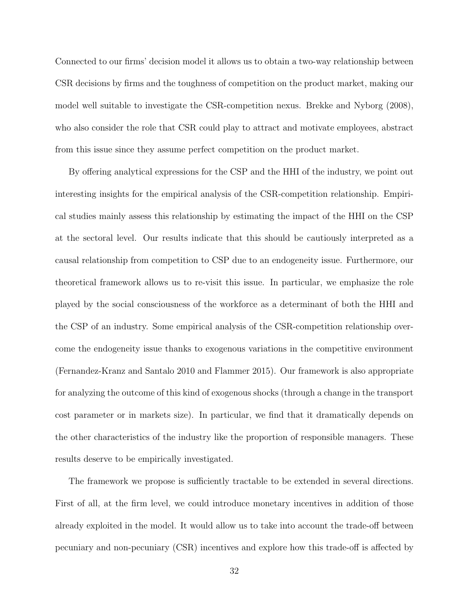Connected to our firms' decision model it allows us to obtain a two-way relationship between CSR decisions by firms and the toughness of competition on the product market, making our model well suitable to investigate the CSR-competition nexus. Brekke and Nyborg (2008), who also consider the role that CSR could play to attract and motivate employees, abstract from this issue since they assume perfect competition on the product market.

By offering analytical expressions for the CSP and the HHI of the industry, we point out interesting insights for the empirical analysis of the CSR-competition relationship. Empirical studies mainly assess this relationship by estimating the impact of the HHI on the CSP at the sectoral level. Our results indicate that this should be cautiously interpreted as a causal relationship from competition to CSP due to an endogeneity issue. Furthermore, our theoretical framework allows us to re-visit this issue. In particular, we emphasize the role played by the social consciousness of the workforce as a determinant of both the HHI and the CSP of an industry. Some empirical analysis of the CSR-competition relationship overcome the endogeneity issue thanks to exogenous variations in the competitive environment (Fernandez-Kranz and Santalo 2010 and Flammer 2015). Our framework is also appropriate for analyzing the outcome of this kind of exogenous shocks (through a change in the transport cost parameter or in markets size). In particular, we find that it dramatically depends on the other characteristics of the industry like the proportion of responsible managers. These results deserve to be empirically investigated.

The framework we propose is sufficiently tractable to be extended in several directions. First of all, at the firm level, we could introduce monetary incentives in addition of those already exploited in the model. It would allow us to take into account the trade-off between pecuniary and non-pecuniary (CSR) incentives and explore how this trade-off is affected by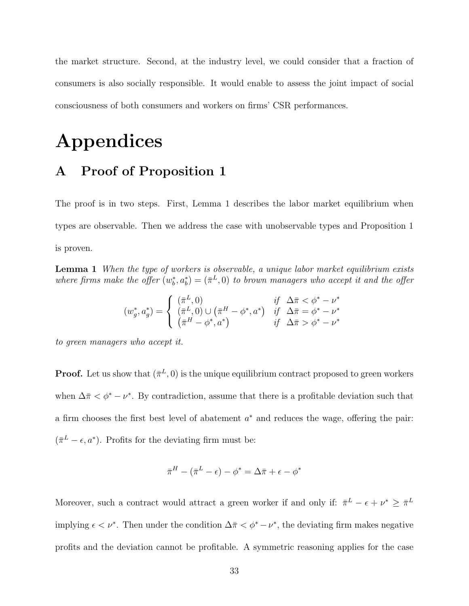the market structure. Second, at the industry level, we could consider that a fraction of consumers is also socially responsible. It would enable to assess the joint impact of social consciousness of both consumers and workers on firms' CSR performances.

# Appendices

## A Proof of Proposition 1

The proof is in two steps. First, Lemma 1 describes the labor market equilibrium when types are observable. Then we address the case with unobservable types and Proposition 1 is proven.

**Lemma 1** When the type of workers is observable, a unique labor market equilibrium exists where firms make the offer  $(w_b^*, a_b^*) = (\bar{\pi}^L, 0)$  to brown managers who accept it and the offer

$$
(w_g^*, a_g^*) = \begin{cases} (\bar{\pi}^L, 0) & \text{if } \Delta \bar{\pi} < \phi^* - \nu^*\\ (\bar{\pi}^L, 0) \cup (\bar{\pi}^H - \phi^*, a^*) & \text{if } \Delta \bar{\pi} = \phi^* - \nu^*\\ (\bar{\pi}^H - \phi^*, a^*) & \text{if } \Delta \bar{\pi} > \phi^* - \nu^* \end{cases}
$$

to green managers who accept it.

**Proof.** Let us show that  $(\bar{\pi}^L, 0)$  is the unique equilibrium contract proposed to green workers when  $\Delta \bar{\pi} < \phi^* - \nu^*$ . By contradiction, assume that there is a profitable deviation such that a firm chooses the first best level of abatement  $a^*$  and reduces the wage, offering the pair:  $(\bar{\pi}^L - \epsilon, a^*)$ . Profits for the deviating firm must be:

$$
\bar{\pi}^H - (\bar{\pi}^L - \epsilon) - \phi^* = \Delta \bar{\pi} + \epsilon - \phi^*
$$

Moreover, such a contract would attract a green worker if and only if:  $\bar{\pi}^L - \epsilon + \nu^* \geq \bar{\pi}^L$ implying  $\epsilon < \nu^*$ . Then under the condition  $\Delta \bar{\pi} < \phi^* - \nu^*$ , the deviating firm makes negative profits and the deviation cannot be profitable. A symmetric reasoning applies for the case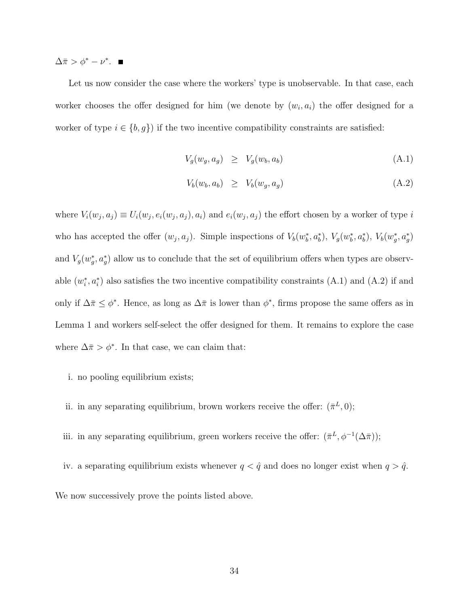$\Delta \bar{\pi} > \phi^* - \nu^*.$ 

Let us now consider the case where the workers' type is unobservable. In that case, each worker chooses the offer designed for him (we denote by  $(w_i, a_i)$  the offer designed for a worker of type  $i \in \{b, g\}$  if the two incentive compatibility constraints are satisfied:

$$
V_g(w_g, a_g) \ge V_g(w_b, a_b) \tag{A.1}
$$

$$
V_b(w_b, a_b) \geq V_b(w_g, a_g) \tag{A.2}
$$

where  $V_i(w_j, a_j) \equiv U_i(w_j, e_i(w_j, a_j), a_i)$  and  $e_i(w_j, a_j)$  the effort chosen by a worker of type i who has accepted the offer  $(w_j, a_j)$ . Simple inspections of  $V_b(w_b^*, a_b^*)$ ,  $V_g(w_b^*, a_b^*)$ ,  $V_b(w_g^*, a_g^*)$ and  $V_g(w_g^*, a_g^*)$  allow us to conclude that the set of equilibrium offers when types are observable  $(w_i^*, a_i^*)$  also satisfies the two incentive compatibility constraints  $(A.1)$  and  $(A.2)$  if and only if  $\Delta \bar{\pi} \leq \phi^*$ . Hence, as long as  $\Delta \bar{\pi}$  is lower than  $\phi^*$ , firms propose the same offers as in Lemma 1 and workers self-select the offer designed for them. It remains to explore the case where  $\Delta \bar{\pi} > \phi^*$ . In that case, we can claim that:

- i. no pooling equilibrium exists;
- ii. in any separating equilibrium, brown workers receive the offer:  $(\bar{\pi}^L, 0)$ ;
- iii. in any separating equilibrium, green workers receive the offer:  $(\bar{\pi}^L, \phi^{-1}(\Delta \bar{\pi}))$ ;
- iv. a separating equilibrium exists whenever  $q < \hat{q}$  and does no longer exist when  $q > \hat{q}$ .

We now successively prove the points listed above.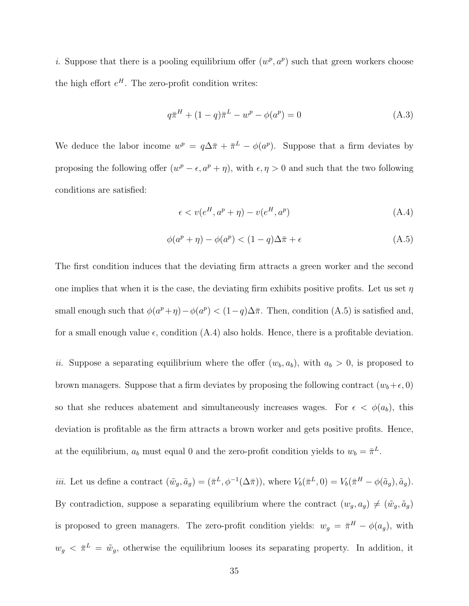i. Suppose that there is a pooling equilibrium offer  $(w^p, a^p)$  such that green workers choose the high effort  $e^H$ . The zero-profit condition writes:

$$
q\bar{\pi}^H + (1 - q)\bar{\pi}^L - w^p - \phi(a^p) = 0
$$
\n(A.3)

We deduce the labor income  $w^p = q\Delta \bar{\pi} + \bar{\pi}^L - \phi(a^p)$ . Suppose that a firm deviates by proposing the following offer  $(w^p - \epsilon, a^p + \eta)$ , with  $\epsilon, \eta > 0$  and such that the two following conditions are satisfied:

$$
\epsilon < v(e^H, a^p + \eta) - v(e^H, a^p) \tag{A.4}
$$

$$
\phi(a^p + \eta) - \phi(a^p) < (1 - q)\Delta\bar{\pi} + \epsilon \tag{A.5}
$$

The first condition induces that the deviating firm attracts a green worker and the second one implies that when it is the case, the deviating firm exhibits positive profits. Let us set  $\eta$ small enough such that  $\phi(a^p + \eta) - \phi(a^p) < (1-q)\Delta\bar{\pi}$ . Then, condition (A.5) is satisfied and, for a small enough value  $\epsilon$ , condition (A.4) also holds. Hence, there is a profitable deviation.

ii. Suppose a separating equilibrium where the offer  $(w_b, a_b)$ , with  $a_b > 0$ , is proposed to brown managers. Suppose that a firm deviates by proposing the following contract  $(w_b+\epsilon, 0)$ so that she reduces abatement and simultaneously increases wages. For  $\epsilon < \phi(a_b)$ , this deviation is profitable as the firm attracts a brown worker and gets positive profits. Hence, at the equilibrium,  $a_b$  must equal 0 and the zero-profit condition yields to  $w_b = \bar{\pi}^L$ .

*iii.* Let us define a contract  $(\tilde{w}_g, \tilde{a}_g) = (\bar{\pi}^L, \phi^{-1}(\Delta \bar{\pi}))$ , where  $V_b(\bar{\pi}^L, 0) = V_b(\bar{\pi}^H - \phi(\tilde{a}_g), \tilde{a}_g)$ . By contradiction, suppose a separating equilibrium where the contract  $(w_g, a_g) \neq (\tilde{w}_g, \tilde{a}_g)$ is proposed to green managers. The zero-profit condition yields:  $w_g = \bar{\pi}^H - \phi(a_g)$ , with  $w_g < \bar{\pi}^L = \tilde{w}_g$ , otherwise the equilibrium looses its separating property. In addition, it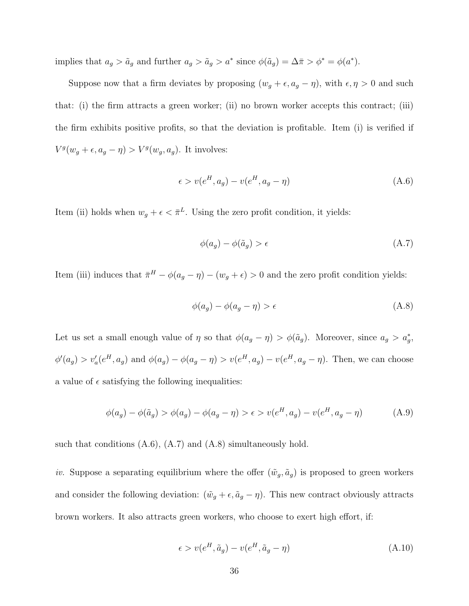implies that  $a_g > \tilde{a}_g$  and further  $a_g > \tilde{a}_g > a^*$  since  $\phi(\tilde{a}_g) = \Delta \bar{\pi} > \phi^* = \phi(a^*).$ 

Suppose now that a firm deviates by proposing  $(w_g + \epsilon, a_g - \eta)$ , with  $\epsilon, \eta > 0$  and such that: (i) the firm attracts a green worker; (ii) no brown worker accepts this contract; (iii) the firm exhibits positive profits, so that the deviation is profitable. Item (i) is verified if  $V^g(w_g + \epsilon, a_g - \eta) > V^g(w_g, a_g)$ . It involves:

$$
\epsilon > v(e^H, a_g) - v(e^H, a_g - \eta) \tag{A.6}
$$

Item (ii) holds when  $w_g + \epsilon < \bar{\pi}^L$ . Using the zero profit condition, it yields:

$$
\phi(a_g) - \phi(\tilde{a}_g) > \epsilon \tag{A.7}
$$

Item (iii) induces that  $\bar{\pi}^H - \phi(a_g - \eta) - (w_g + \epsilon) > 0$  and the zero profit condition yields:

$$
\phi(a_g) - \phi(a_g - \eta) > \epsilon \tag{A.8}
$$

Let us set a small enough value of  $\eta$  so that  $\phi(a_g - \eta) > \phi(\tilde{a}_g)$ . Moreover, since  $a_g > a_g^*$ ,  $\phi'(a_g) > v'_a(e^H, a_g)$  and  $\phi(a_g) - \phi(a_g - \eta) > v(e^H, a_g) - v(e^H, a_g - \eta)$ . Then, we can choose a value of  $\epsilon$  satisfying the following inequalities:

$$
\phi(a_g) - \phi(\tilde{a}_g) > \phi(a_g) - \phi(a_g - \eta) > \epsilon > v(e^H, a_g) - v(e^H, a_g - \eta) \tag{A.9}
$$

such that conditions  $(A.6)$ ,  $(A.7)$  and  $(A.8)$  simultaneously hold.

iv. Suppose a separating equilibrium where the offer  $(\tilde{w}_g, \tilde{a}_g)$  is proposed to green workers and consider the following deviation:  $(\tilde{w}_g + \epsilon, \tilde{a}_g - \eta)$ . This new contract obviously attracts brown workers. It also attracts green workers, who choose to exert high effort, if:

$$
\epsilon > v(e^H, \tilde{a}_g) - v(e^H, \tilde{a}_g - \eta) \tag{A.10}
$$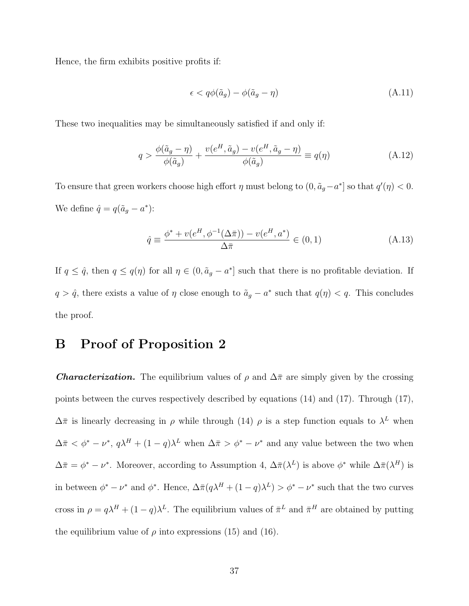Hence, the firm exhibits positive profits if:

$$
\epsilon < q\phi(\tilde{a}_g) - \phi(\tilde{a}_g - \eta) \tag{A.11}
$$

These two inequalities may be simultaneously satisfied if and only if:

$$
q > \frac{\phi(\tilde{a}_g - \eta)}{\phi(\tilde{a}_g)} + \frac{v(e^H, \tilde{a}_g) - v(e^H, \tilde{a}_g - \eta)}{\phi(\tilde{a}_g)} \equiv q(\eta)
$$
 (A.12)

To ensure that green workers choose high effort  $\eta$  must belong to  $(0, \tilde{a}_g - a^*]$  so that  $q'(\eta) < 0$ . We define  $\hat{q} = q(\tilde{a}_g - a^*)$ :

$$
\hat{q} \equiv \frac{\phi^* + v(e^H, \phi^{-1}(\Delta \bar{\pi})) - v(e^H, a^*)}{\Delta \bar{\pi}} \in (0, 1)
$$
\n(A.13)

If  $q \leq \hat{q}$ , then  $q \leq q(\eta)$  for all  $\eta \in (0, \tilde{a}_g - a^*]$  such that there is no profitable deviation. If  $q > \hat{q}$ , there exists a value of  $\eta$  close enough to  $\tilde{a}_g - a^*$  such that  $q(\eta) < q$ . This concludes the proof.

## B Proof of Proposition 2

**Characterization.** The equilibrium values of  $\rho$  and  $\Delta \bar{\pi}$  are simply given by the crossing points between the curves respectively described by equations (14) and (17). Through (17),  $\Delta \bar{\pi}$  is linearly decreasing in  $\rho$  while through (14)  $\rho$  is a step function equals to  $\lambda^L$  when  $\Delta \bar{\pi} < \phi^* - \nu^*, q \lambda^H + (1 - q) \lambda^L$  when  $\Delta \bar{\pi} > \phi^* - \nu^*$  and any value between the two when  $\Delta \bar{\pi} = \phi^* - \nu^*$ . Moreover, according to Assumption 4,  $\Delta \bar{\pi}(\lambda^L)$  is above  $\phi^*$  while  $\Delta \bar{\pi}(\lambda^H)$  is in between  $\phi^* - \nu^*$  and  $\phi^*$ . Hence,  $\Delta \bar{\pi}(q\lambda^H + (1-q)\lambda^L) > \phi^* - \nu^*$  such that the two curves cross in  $\rho = q\lambda^H + (1-q)\lambda^L$ . The equilibrium values of  $\bar{\pi}^L$  and  $\bar{\pi}^H$  are obtained by putting the equilibrium value of  $\rho$  into expressions (15) and (16).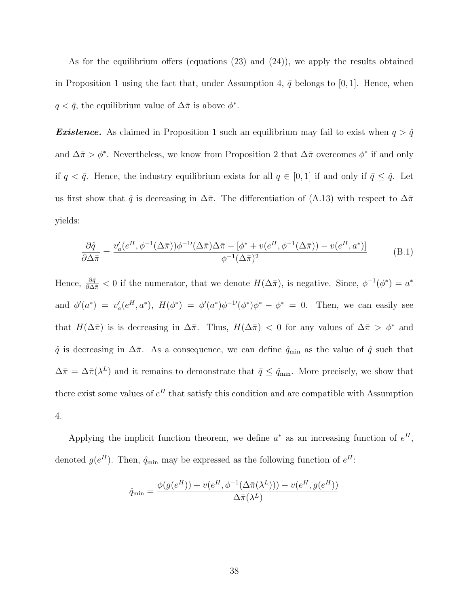As for the equilibrium offers (equations (23) and (24)), we apply the results obtained in Proposition 1 using the fact that, under Assumption 4,  $\bar{q}$  belongs to [0, 1]. Hence, when  $q < \bar{q}$ , the equilibrium value of  $\Delta \bar{\pi}$  is above  $\phi^*$ .

**Existence.** As claimed in Proposition 1 such an equilibrium may fail to exist when  $q > \hat{q}$ and  $\Delta \bar{\pi} > \phi^*$ . Nevertheless, we know from Proposition 2 that  $\Delta \bar{\pi}$  overcomes  $\phi^*$  if and only if  $q < \bar{q}$ . Hence, the industry equilibrium exists for all  $q \in [0, 1]$  if and only if  $\bar{q} \leq \hat{q}$ . Let us first show that  $\hat{q}$  is decreasing in  $\Delta \bar{\pi}$ . The differentiation of (A.13) with respect to  $\Delta \bar{\pi}$ yields:

$$
\frac{\partial \hat{q}}{\partial \Delta \bar{\pi}} = \frac{v_a'(e^H, \phi^{-1}(\Delta \bar{\pi}))\phi^{-1'}(\Delta \bar{\pi})\Delta \bar{\pi} - [\phi^* + v(e^H, \phi^{-1}(\Delta \bar{\pi})) - v(e^H, a^*)]}{\phi^{-1}(\Delta \bar{\pi})^2}
$$
(B.1)

Hence,  $\frac{\partial \hat{q}}{\partial \Delta \pi} < 0$  if the numerator, that we denote  $H(\Delta \pi)$ , is negative. Since,  $\phi^{-1}(\phi^*) = a^*$ and  $\phi'(a^*) = v_a'(e^H, a^*), H(\phi^*) = \phi'(a^*)\phi^{-1}(\phi^*)\phi^* - \phi^* = 0$ . Then, we can easily see that  $H(\Delta \bar{\pi})$  is is decreasing in  $\Delta \bar{\pi}$ . Thus,  $H(\Delta \bar{\pi}) < 0$  for any values of  $\Delta \bar{\pi} > \phi^*$  and  $\hat{q}$  is decreasing in  $\Delta \bar{\pi}$ . As a consequence, we can define  $\hat{q}_{min}$  as the value of  $\hat{q}$  such that  $\Delta \bar{\pi} = \Delta \bar{\pi} (\lambda^L)$  and it remains to demonstrate that  $\bar{q} \leq \hat{q}_{min}$ . More precisely, we show that there exist some values of  $e^H$  that satisfy this condition and are compatible with Assumption 4.

Applying the implicit function theorem, we define  $a^*$  as an increasing function of  $e^H$ , denoted  $g(e^H)$ . Then,  $\hat{q}_{\min}$  may be expressed as the following function of  $e^H$ :

$$
\hat{q}_{\min} = \frac{\phi(g(e^{H})) + v(e^{H}, \phi^{-1}(\Delta \bar{\pi}(\lambda^{L}))) - v(e^{H}, g(e^{H}))}{\Delta \bar{\pi}(\lambda^{L})}
$$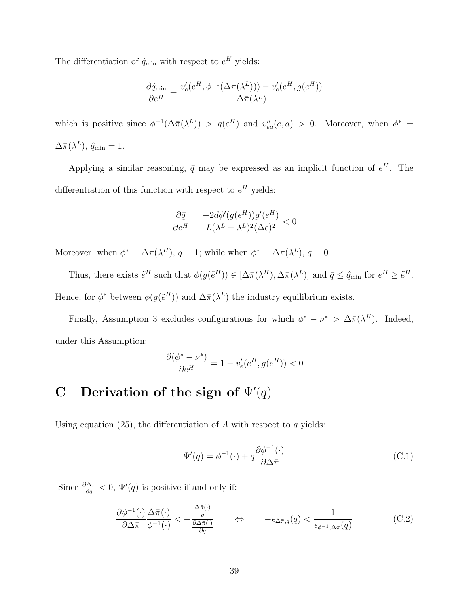The differentiation of  $\hat{q}_{min}$  with respect to  $e^H$  yields:

$$
\frac{\partial \hat{q}_{\min}}{\partial e^H} = \frac{v'_e(e^H, \phi^{-1}(\Delta \bar{\pi}(\lambda^L))) - v'_e(e^H, g(e^H))}{\Delta \bar{\pi}(\lambda^L)}
$$

which is positive since  $\phi^{-1}(\Delta \bar{\pi}(\lambda^L)) > g(e^H)$  and  $v''_{ea}(e, a) > 0$ . Moreover, when  $\phi^* =$  $\Delta \bar\pi(\lambda^L),\,\hat q_{\min}=1.$ 

Applying a similar reasoning,  $\bar{q}$  may be expressed as an implicit function of  $e^H$ . The differentiation of this function with respect to  $e^H$  yields:

$$
\frac{\partial \bar{q}}{\partial e^H} = \frac{-2d\phi'(g(e^H))g'(e^H)}{L(\lambda^L - \lambda^L)^2(\Delta c)^2} < 0
$$

Moreover, when  $\phi^* = \Delta \bar{\pi}(\lambda^H)$ ,  $\bar{q} = 1$ ; while when  $\phi^* = \Delta \bar{\pi}(\lambda^L)$ ,  $\bar{q} = 0$ .

Thus, there exists  $\tilde{e}^H$  such that  $\phi(g(\tilde{e}^H)) \in [\Delta \bar{\pi}(\lambda^H), \Delta \bar{\pi}(\lambda^L)]$  and  $\bar{q} \leq \hat{q}_{\min}$  for  $e^H \geq \tilde{e}^H$ . Hence, for  $\phi^*$  between  $\phi(g(\tilde{e}^H))$  and  $\Delta \bar{\pi}(\lambda^L)$  the industry equilibrium exists.

Finally, Assumption 3 excludes configurations for which  $\phi^* - \nu^* > \Delta \bar{\pi}(\lambda^H)$ . Indeed, under this Assumption:

$$
\frac{\partial(\phi^* - \nu^*)}{\partial e^H} = 1 - v'_e(e^H, g(e^H)) < 0
$$

# C Derivation of the sign of  $\Psi'(q)$

Using equation (25), the differentiation of A with respect to  $q$  yields:

$$
\Psi'(q) = \phi^{-1}(\cdot) + q \frac{\partial \phi^{-1}(\cdot)}{\partial \Delta \bar{\pi}}
$$
\n(C.1)

Since  $\frac{\partial \Delta \bar{\pi}}{\partial q} < 0$ ,  $\Psi'(q)$  is positive if and only if:

$$
\frac{\partial \phi^{-1}(\cdot)}{\partial \Delta \bar{\pi}} \frac{\Delta \bar{\pi}(\cdot)}{\phi^{-1}(\cdot)} < -\frac{\frac{\Delta \bar{\pi}(\cdot)}{q}}{\frac{\partial \Delta \bar{\pi}(\cdot)}{\partial q}} \qquad \Leftrightarrow \qquad -\epsilon_{\Delta \bar{\pi},q}(q) < \frac{1}{\epsilon_{\phi^{-1},\Delta \bar{\pi}}(q)} \tag{C.2}
$$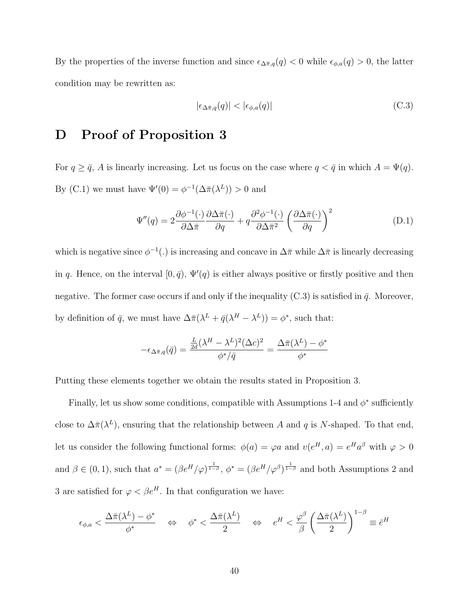By the properties of the inverse function and since  $\epsilon_{\Delta \bar{\pi},q}(q) < 0$  while  $\epsilon_{\phi,a}(q) > 0$ , the latter condition may be rewritten as:

$$
|\epsilon_{\Delta \bar{\pi}, q}(q)| < |\epsilon_{\phi, a}(q)| \tag{C.3}
$$

## D Proof of Proposition 3

For  $q \ge \bar{q}$ , A is linearly increasing. Let us focus on the case where  $q < \bar{q}$  in which  $A = \Psi(q)$ . By (C.1) we must have  $\Psi'(0) = \phi^{-1}(\Delta \bar{\pi}(\lambda^L)) > 0$  and

$$
\Psi''(q) = 2 \frac{\partial \phi^{-1}(\cdot)}{\partial \Delta \bar{\pi}} \frac{\partial \Delta \bar{\pi}(\cdot)}{\partial q} + q \frac{\partial^2 \phi^{-1}(\cdot)}{\partial \Delta \bar{\pi}^2} \left(\frac{\partial \Delta \bar{\pi}(\cdot)}{\partial q}\right)^2 \tag{D.1}
$$

which is negative since  $\phi^{-1}(.)$  is increasing and concave in  $\Delta \bar{\pi}$  while  $\Delta \bar{\pi}$  is linearly decreasing in q. Hence, on the interval  $[0, \bar{q})$ ,  $\Psi'(q)$  is either always positive or firstly positive and then negative. The former case occurs if and only if the inequality  $(C.3)$  is satisfied in  $\bar{q}$ . Moreover, by definition of  $\bar{q}$ , we must have  $\Delta \bar{\pi}(\lambda^L + \bar{q}(\lambda^H - \lambda^L)) = \phi^*$ , such that:

$$
-\epsilon_{\Delta\bar{\pi},q}(\bar{q}) = \frac{\frac{L}{2d}(\lambda^H - \lambda^L)^2 (\Delta c)^2}{\phi^*/\bar{q}} = \frac{\Delta\bar{\pi}(\lambda^L) - \phi^*}{\phi^*}
$$

Putting these elements together we obtain the results stated in Proposition 3.

Finally, let us show some conditions, compatible with Assumptions 1-4 and  $\phi^*$  sufficiently close to  $\Delta \bar{\pi}(\lambda^L)$ , ensuring that the relationship between A and q is N-shaped. To that end, let us consider the following functional forms:  $\phi(a) = \varphi a$  and  $v(e^H, a) = e^H a^{\beta}$  with  $\varphi > 0$ and  $\beta \in (0,1)$ , such that  $a^* = (\beta e^H/\varphi)^{\frac{1}{1-\beta}}, \phi^* = (\beta e^H/\varphi^{\beta})^{\frac{1}{1-\beta}}$  and both Assumptions 2 and 3 are satisfied for  $\varphi < \beta e^H.$  In that configuration we have:

$$
\epsilon_{\phi,a} < \frac{\Delta \bar{\pi}(\lambda^L) - \phi^*}{\phi^*} \quad \Leftrightarrow \quad \phi^* < \frac{\Delta \bar{\pi}(\lambda^L)}{2} \quad \Leftrightarrow \quad e^H < \frac{\varphi^{\beta}}{\beta} \left(\frac{\Delta \bar{\pi}(\lambda^L)}{2}\right)^{1-\beta} \equiv \bar{e}^H
$$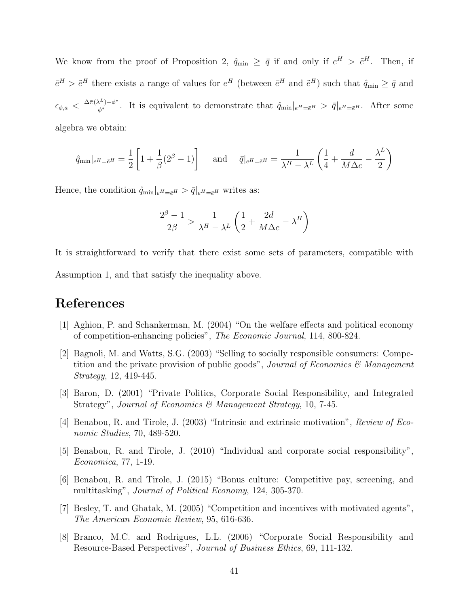We know from the proof of Proposition 2,  $\hat{q}_{min} \geq \bar{q}$  if and only if  $e^H > \tilde{e}^H$ . Then, if  $\bar{e}^H > \tilde{e}^H$  there exists a range of values for  $e^H$  (between  $\bar{e}^H$  and  $\tilde{e}^H$ ) such that  $\hat{q}_{min} \ge \bar{q}$  and  $\epsilon_{\phi,a} < \frac{\Delta \bar{\pi}(\lambda^L) - \phi^*}{\phi^*}$ . It is equivalent to demonstrate that  $\hat{q}_{\min}|_{e^H = \bar{e}^H} > \bar{q}|_{e^H = \bar{e}^H}$ . After some algebra we obtain:

$$
\hat{q}_{\min}|_{e^H = \bar{e}^H} = \frac{1}{2} \left[ 1 + \frac{1}{\beta} (2^{\beta} - 1) \right] \quad \text{and} \quad \bar{q}|_{e^H = \bar{e}^H} = \frac{1}{\lambda^H - \lambda^L} \left( \frac{1}{4} + \frac{d}{M\Delta c} - \frac{\lambda^L}{2} \right)
$$

Hence, the condition  $\hat{q}_{\min}|_{e^H=\bar{e}^H} > \bar{q}|_{e^H=\bar{e}^H}$  writes as:

$$
\frac{2^\beta-1}{2\beta}>\frac{1}{\lambda^H-\lambda^L}\left(\frac{1}{2}+\frac{2d}{M\Delta c}-\lambda^H\right)
$$

It is straightforward to verify that there exist some sets of parameters, compatible with

Assumption 1, and that satisfy the inequality above.

## References

- [1] Aghion, P. and Schankerman, M. (2004) "On the welfare effects and political economy of competition-enhancing policies", The Economic Journal, 114, 800-824.
- [2] Bagnoli, M. and Watts, S.G. (2003) "Selling to socially responsible consumers: Competition and the private provision of public goods", Journal of Economics  $\mathcal{C}$  Management Strategy, 12, 419-445.
- [3] Baron, D. (2001) "Private Politics, Corporate Social Responsibility, and Integrated Strategy", Journal of Economics & Management Strategy, 10, 7-45.
- [4] Benabou, R. and Tirole, J. (2003) "Intrinsic and extrinsic motivation", Review of Economic Studies, 70, 489-520.
- [5] Benabou, R. and Tirole, J. (2010) "Individual and corporate social responsibility", Economica, 77, 1-19.
- [6] Benabou, R. and Tirole, J. (2015) "Bonus culture: Competitive pay, screening, and multitasking", *Journal of Political Economy*, 124, 305-370.
- [7] Besley, T. and Ghatak, M. (2005) "Competition and incentives with motivated agents", The American Economic Review, 95, 616-636.
- [8] Branco, M.C. and Rodrigues, L.L. (2006) "Corporate Social Responsibility and Resource-Based Perspectives", Journal of Business Ethics, 69, 111-132.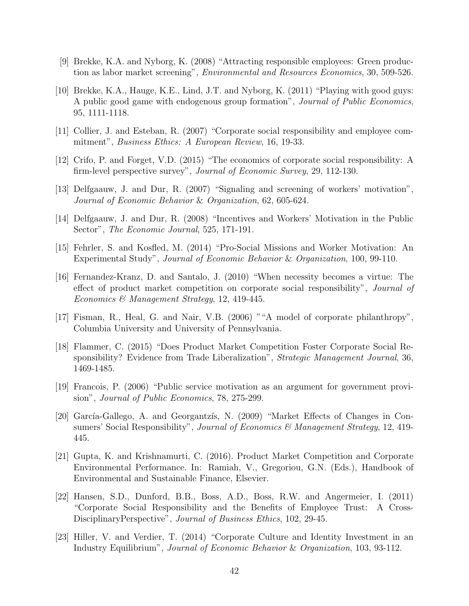- [9] Brekke, K.A. and Nyborg, K. (2008) "Attracting responsible employees: Green production as labor market screening", Environmental and Resources Economics, 30, 509-526.
- [10] Brekke, K.A., Hauge, K.E., Lind, J.T. and Nyborg, K. (2011) "Playing with good guys: A public good game with endogenous group formation", *Journal of Public Economics*. 95, 1111-1118.
- [11] Collier, J. and Esteban, R. (2007) "Corporate social responsibility and employee commitment", *Business Ethics: A European Review*, 16, 19-33.
- [12] Crifo, P. and Forget, V.D. (2015) "The economics of corporate social responsibility: A firm-level perspective survey", Journal of Economic Survey, 29, 112-130.
- [13] Delfgaauw, J. and Dur, R. (2007) "Signaling and screening of workers' motivation", Journal of Economic Behavior & Organization, 62, 605-624.
- [14] Delfgaauw, J. and Dur, R. (2008) "Incentives and Workers' Motivation in the Public Sector", The Economic Journal, 525, 171-191.
- [15] Fehrler, S. and Kosfled, M. (2014) "Pro-Social Missions and Worker Motivation: An Experimental Study", Journal of Economic Behavior & Organization, 100, 99-110.
- [16] Fernandez-Kranz, D. and Santalo, J. (2010) "When necessity becomes a virtue: The effect of product market competition on corporate social responsibility", Journal of Economics & Management Strategy, 12, 419-445.
- [17] Fisman, R., Heal, G. and Nair, V.B. (2006) ""A model of corporate philanthropy", Columbia University and University of Pennsylvania.
- [18] Flammer, C. (2015) "Does Product Market Competition Foster Corporate Social Responsibility? Evidence from Trade Liberalization", *Strategic Management Journal*, 36, 1469-1485.
- [19] Francois, P. (2006) "Public service motivation as an argument for government provision", Journal of Public Economics, 78, 275-299.
- [20] García-Gallego, A. and Georgantzís, N. (2009) "Market Effects of Changes in Consumers' Social Responsibility", Journal of Economics & Management Strategy, 12, 419-445.
- [21] Gupta, K. and Krishnamurti, C. (2016). Product Market Competition and Corporate Environmental Performance. In: Ramiah, V., Gregoriou, G.N. (Eds.), Handbook of Environmental and Sustainable Finance, Elsevier.
- [22] Hansen, S.D., Dunford, B.B., Boss, A.D., Boss, R.W. and Angermeier, I. (2011) "Corporate Social Responsibility and the Benefits of Employee Trust: A Cross-DisciplinaryPerspective", Journal of Business Ethics, 102, 29-45.
- [23] Hiller, V. and Verdier, T. (2014) "Corporate Culture and Identity Investment in an Industry Equilibrium", Journal of Economic Behavior & Organization, 103, 93-112.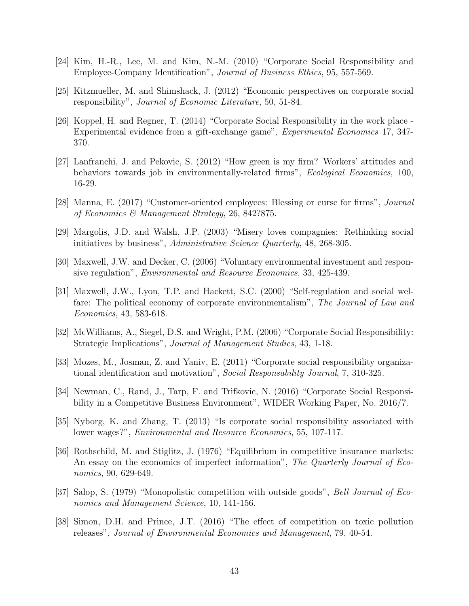- [24] Kim, H.-R., Lee, M. and Kim, N.-M. (2010) "Corporate Social Responsibility and Employee-Company Identification", Journal of Business Ethics, 95, 557-569.
- [25] Kitzmueller, M. and Shimshack, J. (2012) "Economic perspectives on corporate social responsibility", Journal of Economic Literature, 50, 51-84.
- [26] Koppel, H. and Regner, T. (2014) "Corporate Social Responsibility in the work place Experimental evidence from a gift-exchange game", Experimental Economics 17, 347- 370.
- [27] Lanfranchi, J. and Pekovic, S. (2012) "How green is my firm? Workers' attitudes and behaviors towards job in environmentally-related firms", Ecological Economics, 100, 16-29.
- [28] Manna, E. (2017) "Customer-oriented employees: Blessing or curse for firms", Journal of Economics & Management Strategy, 26, 842?875.
- [29] Margolis, J.D. and Walsh, J.P. (2003) "Misery loves compagnies: Rethinking social initiatives by business", Administrative Science Quarterly, 48, 268-305.
- [30] Maxwell, J.W. and Decker, C. (2006) "Voluntary environmental investment and responsive regulation", *Environmental and Resource Economics*, 33, 425-439.
- [31] Maxwell, J.W., Lyon, T.P. and Hackett, S.C. (2000) "Self-regulation and social welfare: The political economy of corporate environmentalism", The Journal of Law and Economics, 43, 583-618.
- [32] McWilliams, A., Siegel, D.S. and Wright, P.M. (2006) "Corporate Social Responsibility: Strategic Implications", Journal of Management Studies, 43, 1-18.
- [33] Mozes, M., Josman, Z. and Yaniv, E. (2011) "Corporate social responsibility organizational identification and motivation", Social Responsability Journal, 7, 310-325.
- [34] Newman, C., Rand, J., Tarp, F. and Trifkovic, N. (2016) "Corporate Social Responsibility in a Competitive Business Environment", WIDER Working Paper, No. 2016/7.
- [35] Nyborg, K. and Zhang, T. (2013) "Is corporate social responsibility associated with lower wages?", *Environmental and Resource Economics*, 55, 107-117.
- [36] Rothschild, M. and Stiglitz, J. (1976) "Equilibrium in competitive insurance markets: An essay on the economics of imperfect information", The Quarterly Journal of Economics, 90, 629-649.
- [37] Salop, S. (1979) "Monopolistic competition with outside goods", Bell Journal of Economics and Management Science, 10, 141-156.
- [38] Simon, D.H. and Prince, J.T. (2016) "The effect of competition on toxic pollution releases", Journal of Environmental Economics and Management, 79, 40-54.